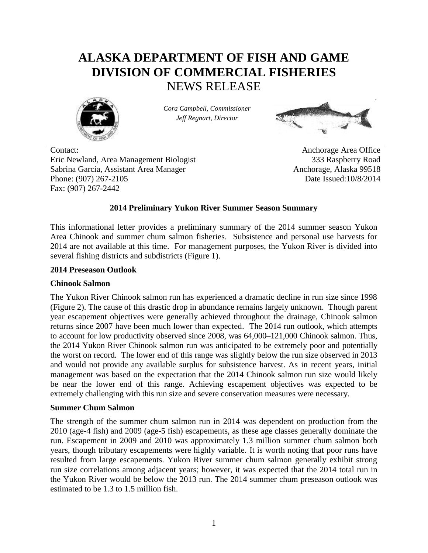# **ALASKA DEPARTMENT OF FISH AND GAME DIVISION OF COMMERCIAL FISHERIES** NEWS RELEASE



*Cora Campbell, Commissioner Jeff Regnart, Director*



Contact: Anchorage Area Office Eric Newland, Area Management Biologist 333 Raspberry Road Sabrina Garcia, Assistant Area Manager Anchorage, Alaska 99518 Phone: (907) 267-2105 Date Issued:10/8/2014 Fax: (907) 267-2442

# **2014 Preliminary Yukon River Summer Season Summary**

This informational letter provides a preliminary summary of the 2014 summer season Yukon Area Chinook and summer chum salmon fisheries. Subsistence and personal use harvests for 2014 are not available at this time. For management purposes, the Yukon River is divided into several fishing districts and subdistricts (Figure 1).

#### **2014 Preseason Outlook**

# **Chinook Salmon**

The Yukon River Chinook salmon run has experienced a dramatic decline in run size since 1998 (Figure 2). The cause of this drastic drop in abundance remains largely unknown. Though parent year escapement objectives were generally achieved throughout the drainage, Chinook salmon returns since 2007 have been much lower than expected. The 2014 run outlook, which attempts to account for low productivity observed since 2008, was 64,000–121,000 Chinook salmon. Thus, the 2014 Yukon River Chinook salmon run was anticipated to be extremely poor and potentially the worst on record. The lower end of this range was slightly below the run size observed in 2013 and would not provide any available surplus for subsistence harvest. As in recent years, initial management was based on the expectation that the 2014 Chinook salmon run size would likely be near the lower end of this range. Achieving escapement objectives was expected to be extremely challenging with this run size and severe conservation measures were necessary.

#### **Summer Chum Salmon**

The strength of the summer chum salmon run in 2014 was dependent on production from the 2010 (age-4 fish) and 2009 (age-5 fish) escapements, as these age classes generally dominate the run. Escapement in 2009 and 2010 was approximately 1.3 million summer chum salmon both years, though tributary escapements were highly variable. It is worth noting that poor runs have resulted from large escapements. Yukon River summer chum salmon generally exhibit strong run size correlations among adjacent years; however, it was expected that the 2014 total run in the Yukon River would be below the 2013 run. The 2014 summer chum preseason outlook was estimated to be 1.3 to 1.5 million fish.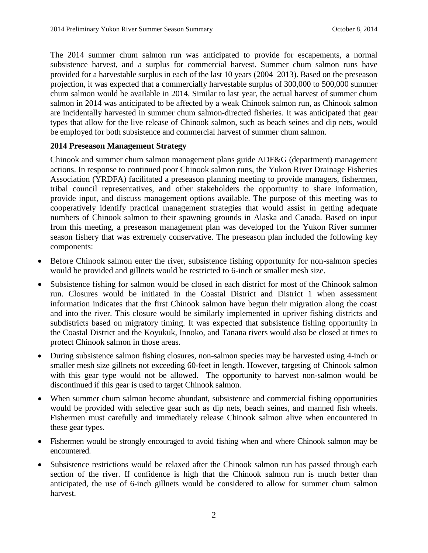The 2014 summer chum salmon run was anticipated to provide for escapements, a normal subsistence harvest, and a surplus for commercial harvest. Summer chum salmon runs have provided for a harvestable surplus in each of the last 10 years (2004–2013). Based on the preseason projection, it was expected that a commercially harvestable surplus of 300,000 to 500,000 summer chum salmon would be available in 2014. Similar to last year, the actual harvest of summer chum salmon in 2014 was anticipated to be affected by a weak Chinook salmon run, as Chinook salmon are incidentally harvested in summer chum salmon-directed fisheries. It was anticipated that gear types that allow for the live release of Chinook salmon, such as beach seines and dip nets, would be employed for both subsistence and commercial harvest of summer chum salmon.

# **2014 Preseason Management Strategy**

Chinook and summer chum salmon management plans guide ADF&G (department) management actions. In response to continued poor Chinook salmon runs, the Yukon River Drainage Fisheries Association (YRDFA) facilitated a preseason planning meeting to provide managers, fishermen, tribal council representatives, and other stakeholders the opportunity to share information, provide input, and discuss management options available. The purpose of this meeting was to cooperatively identify practical management strategies that would assist in getting adequate numbers of Chinook salmon to their spawning grounds in Alaska and Canada. Based on input from this meeting, a preseason management plan was developed for the Yukon River summer season fishery that was extremely conservative. The preseason plan included the following key components:

- Before Chinook salmon enter the river, subsistence fishing opportunity for non-salmon species would be provided and gillnets would be restricted to 6-inch or smaller mesh size.
- Subsistence fishing for salmon would be closed in each district for most of the Chinook salmon run. Closures would be initiated in the Coastal District and District 1 when assessment information indicates that the first Chinook salmon have begun their migration along the coast and into the river. This closure would be similarly implemented in upriver fishing districts and subdistricts based on migratory timing. It was expected that subsistence fishing opportunity in the Coastal District and the Koyukuk, Innoko, and Tanana rivers would also be closed at times to protect Chinook salmon in those areas.
- During subsistence salmon fishing closures, non-salmon species may be harvested using 4-inch or smaller mesh size gillnets not exceeding 60-feet in length. However, targeting of Chinook salmon with this gear type would not be allowed. The opportunity to harvest non-salmon would be discontinued if this gear is used to target Chinook salmon.
- When summer chum salmon become abundant, subsistence and commercial fishing opportunities would be provided with selective gear such as dip nets, beach seines, and manned fish wheels. Fishermen must carefully and immediately release Chinook salmon alive when encountered in these gear types.
- Fishermen would be strongly encouraged to avoid fishing when and where Chinook salmon may be encountered.
- Subsistence restrictions would be relaxed after the Chinook salmon run has passed through each section of the river. If confidence is high that the Chinook salmon run is much better than anticipated, the use of 6-inch gillnets would be considered to allow for summer chum salmon harvest.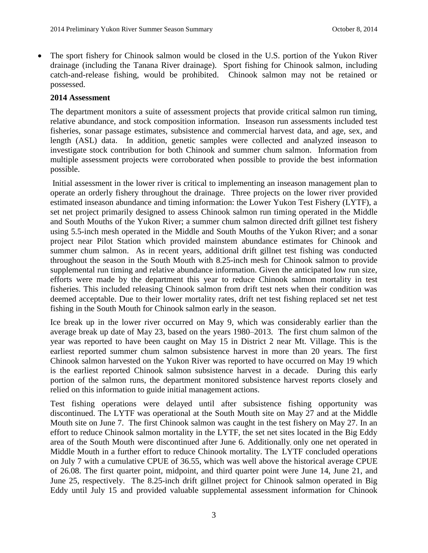The sport fishery for Chinook salmon would be closed in the U.S. portion of the Yukon River drainage (including the Tanana River drainage). Sport fishing for Chinook salmon, including catch-and-release fishing, would be prohibited. Chinook salmon may not be retained or possessed.

#### **2014 Assessment**

The department monitors a suite of assessment projects that provide critical salmon run timing, relative abundance, and stock composition information. Inseason run assessments included test fisheries, sonar passage estimates, subsistence and commercial harvest data, and age, sex, and length (ASL) data. In addition, genetic samples were collected and analyzed inseason to investigate stock contribution for both Chinook and summer chum salmon. Information from multiple assessment projects were corroborated when possible to provide the best information possible.

Initial assessment in the lower river is critical to implementing an inseason management plan to operate an orderly fishery throughout the drainage. Three projects on the lower river provided estimated inseason abundance and timing information: the Lower Yukon Test Fishery (LYTF), a set net project primarily designed to assess Chinook salmon run timing operated in the Middle and South Mouths of the Yukon River; a summer chum salmon directed drift gillnet test fishery using 5.5-inch mesh operated in the Middle and South Mouths of the Yukon River; and a sonar project near Pilot Station which provided mainstem abundance estimates for Chinook and summer chum salmon. As in recent years, additional drift gillnet test fishing was conducted throughout the season in the South Mouth with 8.25-inch mesh for Chinook salmon to provide supplemental run timing and relative abundance information. Given the anticipated low run size, efforts were made by the department this year to reduce Chinook salmon mortality in test fisheries. This included releasing Chinook salmon from drift test nets when their condition was deemed acceptable. Due to their lower mortality rates, drift net test fishing replaced set net test fishing in the South Mouth for Chinook salmon early in the season.

Ice break up in the lower river occurred on May 9, which was considerably earlier than the average break up date of May 23, based on the years 1980–2013. The first chum salmon of the year was reported to have been caught on May 15 in District 2 near Mt. Village. This is the earliest reported summer chum salmon subsistence harvest in more than 20 years. The first Chinook salmon harvested on the Yukon River was reported to have occurred on May 19 which is the earliest reported Chinook salmon subsistence harvest in a decade. During this early portion of the salmon runs, the department monitored subsistence harvest reports closely and relied on this information to guide initial management actions.

Test fishing operations were delayed until after subsistence fishing opportunity was discontinued. The LYTF was operational at the South Mouth site on May 27 and at the Middle Mouth site on June 7. The first Chinook salmon was caught in the test fishery on May 27. In an effort to reduce Chinook salmon mortality in the LYTF, the set net sites located in the Big Eddy area of the South Mouth were discontinued after June 6. Additionally, only one net operated in Middle Mouth in a further effort to reduce Chinook mortality. The LYTF concluded operations on July 7 with a cumulative CPUE of 36.55, which was well above the historical average CPUE of 26.08. The first quarter point, midpoint, and third quarter point were June 14, June 21, and June 25, respectively. The 8.25-inch drift gillnet project for Chinook salmon operated in Big Eddy until July 15 and provided valuable supplemental assessment information for Chinook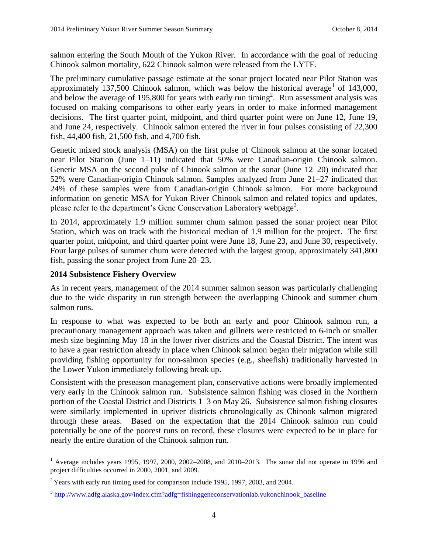salmon entering the South Mouth of the Yukon River. In accordance with the goal of reducing Chinook salmon mortality, 622 Chinook salmon were released from the LYTF.

The preliminary cumulative passage estimate at the sonar project located near Pilot Station was approximately  $137,500$  Chinook salmon, which was below the historical average<sup>1</sup> of  $143,000$ , and below the average of 195,800 for years with early run timing<sup>2</sup>. Run assessment analysis was focused on making comparisons to other early years in order to make informed management decisions. The first quarter point, midpoint, and third quarter point were on June 12, June 19, and June 24, respectively. Chinook salmon entered the river in four pulses consisting of 22,300 fish, 44,400 fish, 21,500 fish, and 4,700 fish.

Genetic mixed stock analysis (MSA) on the first pulse of Chinook salmon at the sonar located near Pilot Station (June 1–11) indicated that 50% were Canadian-origin Chinook salmon. Genetic MSA on the second pulse of Chinook salmon at the sonar (June 12–20) indicated that 52% were Canadian-origin Chinook salmon. Samples analyzed from June 21–27 indicated that 24% of these samples were from Canadian-origin Chinook salmon. For more background information on genetic MSA for Yukon River Chinook salmon and related topics and updates, please refer to the department's Gene Conservation Laboratory webpage<sup>3</sup>.

In 2014, approximately 1.9 million summer chum salmon passed the sonar project near Pilot Station, which was on track with the historical median of 1.9 million for the project. The first quarter point, midpoint, and third quarter point were June 18, June 23, and June 30, respectively. Four large pulses of summer chum were detected with the largest group, approximately 341,800 fish, passing the sonar project from June 20–23.

# **2014 Subsistence Fishery Overview**

 $\overline{a}$ 

As in recent years, management of the 2014 summer salmon season was particularly challenging due to the wide disparity in run strength between the overlapping Chinook and summer chum salmon runs.

In response to what was expected to be both an early and poor Chinook salmon run, a precautionary management approach was taken and gillnets were restricted to 6-inch or smaller mesh size beginning May 18 in the lower river districts and the Coastal District. The intent was to have a gear restriction already in place when Chinook salmon began their migration while still providing fishing opportunity for non-salmon species (e.g., sheefish) traditionally harvested in the Lower Yukon immediately following break up.

Consistent with the preseason management plan, conservative actions were broadly implemented very early in the Chinook salmon run. Subsistence salmon fishing was closed in the Northern portion of the Coastal District and Districts 1–3 on May 26. Subsistence salmon fishing closures were similarly implemented in upriver districts chronologically as Chinook salmon migrated through these areas. Based on the expectation that the 2014 Chinook salmon run could potentially be one of the poorest runs on record, these closures were expected to be in place for nearly the entire duration of the Chinook salmon run.

 $1$  Average includes years 1995, 1997, 2000, 2002–2008, and 2010–2013. The sonar did not operate in 1996 and project difficulties occurred in 2000, 2001, and 2009.

 $2$ <sup>2</sup> Years with early run timing used for comparison include 1995, 1997, 2003, and 2004.

<sup>&</sup>lt;sup>3</sup> [http://www.adfg.alaska.gov/index.cfm?adfg=fishinggeneconservationlab.yukonchinook\\_baseline](http://www.adfg.alaska.gov/index.cfm?adfg=fishinggeneconservationlab.yukonchinook_baseline)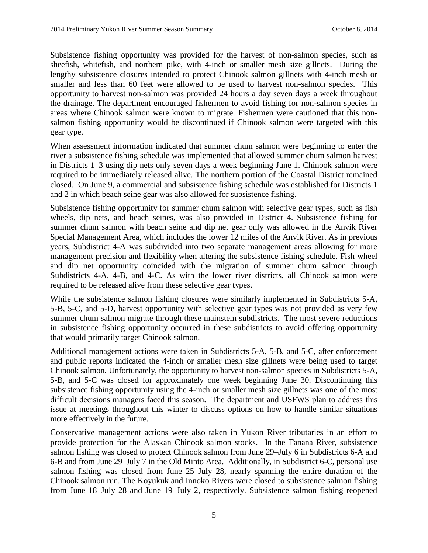Subsistence fishing opportunity was provided for the harvest of non-salmon species, such as sheefish, whitefish, and northern pike, with 4-inch or smaller mesh size gillnets. During the lengthy subsistence closures intended to protect Chinook salmon gillnets with 4-inch mesh or smaller and less than 60 feet were allowed to be used to harvest non-salmon species. This opportunity to harvest non-salmon was provided 24 hours a day seven days a week throughout the drainage. The department encouraged fishermen to avoid fishing for non-salmon species in areas where Chinook salmon were known to migrate. Fishermen were cautioned that this nonsalmon fishing opportunity would be discontinued if Chinook salmon were targeted with this gear type.

When assessment information indicated that summer chum salmon were beginning to enter the river a subsistence fishing schedule was implemented that allowed summer chum salmon harvest in Districts 1–3 using dip nets only seven days a week beginning June 1. Chinook salmon were required to be immediately released alive. The northern portion of the Coastal District remained closed. On June 9, a commercial and subsistence fishing schedule was established for Districts 1 and 2 in which beach seine gear was also allowed for subsistence fishing.

Subsistence fishing opportunity for summer chum salmon with selective gear types, such as fish wheels, dip nets, and beach seines, was also provided in District 4. Subsistence fishing for summer chum salmon with beach seine and dip net gear only was allowed in the Anvik River Special Management Area, which includes the lower 12 miles of the Anvik River. As in previous years, Subdistrict 4-A was subdivided into two separate management areas allowing for more management precision and flexibility when altering the subsistence fishing schedule. Fish wheel and dip net opportunity coincided with the migration of summer chum salmon through Subdistricts 4-A, 4-B, and 4-C. As with the lower river districts, all Chinook salmon were required to be released alive from these selective gear types.

While the subsistence salmon fishing closures were similarly implemented in Subdistricts 5-A, 5-B, 5-C, and 5-D, harvest opportunity with selective gear types was not provided as very few summer chum salmon migrate through these mainstem subdistricts. The most severe reductions in subsistence fishing opportunity occurred in these subdistricts to avoid offering opportunity that would primarily target Chinook salmon.

Additional management actions were taken in Subdistricts 5-A, 5-B, and 5-C, after enforcement and public reports indicated the 4-inch or smaller mesh size gillnets were being used to target Chinook salmon. Unfortunately, the opportunity to harvest non-salmon species in Subdistricts 5-A, 5-B, and 5-C was closed for approximately one week beginning June 30. Discontinuing this subsistence fishing opportunity using the 4-inch or smaller mesh size gillnets was one of the most difficult decisions managers faced this season. The department and USFWS plan to address this issue at meetings throughout this winter to discuss options on how to handle similar situations more effectively in the future.

Conservative management actions were also taken in Yukon River tributaries in an effort to provide protection for the Alaskan Chinook salmon stocks. In the Tanana River, subsistence salmon fishing was closed to protect Chinook salmon from June 29–July 6 in Subdistricts 6-A and 6-B and from June 29–July 7 in the Old Minto Area. Additionally, in Subdistrict 6-C, personal use salmon fishing was closed from June 25–July 28, nearly spanning the entire duration of the Chinook salmon run. The Koyukuk and Innoko Rivers were closed to subsistence salmon fishing from June 18–July 28 and June 19–July 2, respectively. Subsistence salmon fishing reopened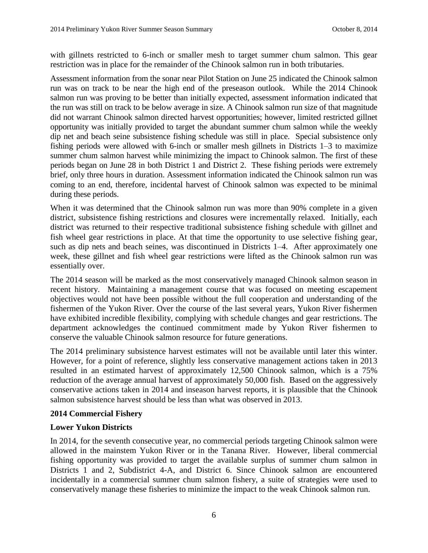with gillnets restricted to 6-inch or smaller mesh to target summer chum salmon. This gear restriction was in place for the remainder of the Chinook salmon run in both tributaries.

Assessment information from the sonar near Pilot Station on June 25 indicated the Chinook salmon run was on track to be near the high end of the preseason outlook. While the 2014 Chinook salmon run was proving to be better than initially expected, assessment information indicated that the run was still on track to be below average in size. A Chinook salmon run size of that magnitude did not warrant Chinook salmon directed harvest opportunities; however, limited restricted gillnet opportunity was initially provided to target the abundant summer chum salmon while the weekly dip net and beach seine subsistence fishing schedule was still in place. Special subsistence only fishing periods were allowed with 6-inch or smaller mesh gillnets in Districts 1–3 to maximize summer chum salmon harvest while minimizing the impact to Chinook salmon. The first of these periods began on June 28 in both District 1 and District 2. These fishing periods were extremely brief, only three hours in duration. Assessment information indicated the Chinook salmon run was coming to an end, therefore, incidental harvest of Chinook salmon was expected to be minimal during these periods.

When it was determined that the Chinook salmon run was more than 90% complete in a given district, subsistence fishing restrictions and closures were incrementally relaxed. Initially, each district was returned to their respective traditional subsistence fishing schedule with gillnet and fish wheel gear restrictions in place. At that time the opportunity to use selective fishing gear, such as dip nets and beach seines, was discontinued in Districts 1–4. After approximately one week, these gillnet and fish wheel gear restrictions were lifted as the Chinook salmon run was essentially over.

The 2014 season will be marked as the most conservatively managed Chinook salmon season in recent history. Maintaining a management course that was focused on meeting escapement objectives would not have been possible without the full cooperation and understanding of the fishermen of the Yukon River. Over the course of the last several years, Yukon River fishermen have exhibited incredible flexibility, complying with schedule changes and gear restrictions. The department acknowledges the continued commitment made by Yukon River fishermen to conserve the valuable Chinook salmon resource for future generations.

The 2014 preliminary subsistence harvest estimates will not be available until later this winter. However, for a point of reference, slightly less conservative management actions taken in 2013 resulted in an estimated harvest of approximately 12,500 Chinook salmon, which is a 75% reduction of the average annual harvest of approximately 50,000 fish. Based on the aggressively conservative actions taken in 2014 and inseason harvest reports, it is plausible that the Chinook salmon subsistence harvest should be less than what was observed in 2013.

#### **2014 Commercial Fishery**

# **Lower Yukon Districts**

In 2014, for the seventh consecutive year, no commercial periods targeting Chinook salmon were allowed in the mainstem Yukon River or in the Tanana River. However, liberal commercial fishing opportunity was provided to target the available surplus of summer chum salmon in Districts 1 and 2, Subdistrict 4-A, and District 6. Since Chinook salmon are encountered incidentally in a commercial summer chum salmon fishery, a suite of strategies were used to conservatively manage these fisheries to minimize the impact to the weak Chinook salmon run.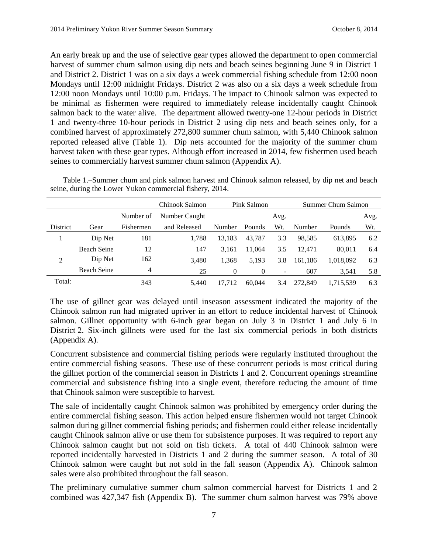An early break up and the use of selective gear types allowed the department to open commercial harvest of summer chum salmon using dip nets and beach seines beginning June 9 in District 1 and District 2. District 1 was on a six days a week commercial fishing schedule from 12:00 noon Mondays until 12:00 midnight Fridays. District 2 was also on a six days a week schedule from 12:00 noon Mondays until 10:00 p.m. Fridays. The impact to Chinook salmon was expected to be minimal as fishermen were required to immediately release incidentally caught Chinook salmon back to the water alive. The department allowed twenty-one 12-hour periods in District 1 and twenty-three 10-hour periods in District 2 using dip nets and beach seines only, for a combined harvest of approximately 272,800 summer chum salmon, with 5,440 Chinook salmon reported released alive (Table 1). Dip nets accounted for the majority of the summer chum harvest taken with these gear types. Although effort increased in 2014, few fishermen used beach seines to commercially harvest summer chum salmon (Appendix A).

Table 1.–Summer chum and pink salmon harvest and Chinook salmon released, by dip net and beach seine, during the Lower Yukon commercial fishery, 2014.

|                 |                    |                | Chinook Salmon | Pink Salmon |          |      |         | Summer Chum Salmon |      |  |  |
|-----------------|--------------------|----------------|----------------|-------------|----------|------|---------|--------------------|------|--|--|
|                 |                    | Number of      | Number Caught  |             |          | Avg. |         |                    | Avg. |  |  |
| <b>District</b> | Gear               | Fishermen      | and Released   | Number      | Pounds   | Wt.  | Number  | Pounds             | Wt.  |  |  |
|                 | Dip Net            | 181            | 1,788          | 13,183      | 43,787   | 3.3  | 98,585  | 613,895            | 6.2  |  |  |
|                 | <b>Beach Seine</b> | 12             | 147            | 3.161       | 11.064   | 3.5  | 12.471  | 80.011             | 6.4  |  |  |
| 2               | Dip Net            | 162            | 3,480          | 1.368       | 5.193    | 3.8  | 161,186 | 1,018,092          | 6.3  |  |  |
|                 | <b>Beach Seine</b> | $\overline{4}$ | 25             | $\theta$    | $\theta$ | -    | 607     | 3,541              | 5.8  |  |  |
| Total:          |                    | 343            | 5.440          | 17.712      | 60.044   | 3.4  | 272,849 | 1,715,539          | 6.3  |  |  |

The use of gillnet gear was delayed until inseason assessment indicated the majority of the Chinook salmon run had migrated upriver in an effort to reduce incidental harvest of Chinook salmon. Gillnet opportunity with 6-inch gear began on July 3 in District 1 and July 6 in District 2. Six-inch gillnets were used for the last six commercial periods in both districts (Appendix A).

Concurrent subsistence and commercial fishing periods were regularly instituted throughout the entire commercial fishing seasons. These use of these concurrent periods is most critical during the gillnet portion of the commercial season in Districts 1 and 2. Concurrent openings streamline commercial and subsistence fishing into a single event, therefore reducing the amount of time that Chinook salmon were susceptible to harvest.

The sale of incidentally caught Chinook salmon was prohibited by emergency order during the entire commercial fishing season. This action helped ensure fishermen would not target Chinook salmon during gillnet commercial fishing periods; and fishermen could either release incidentally caught Chinook salmon alive or use them for subsistence purposes. It was required to report any Chinook salmon caught but not sold on fish tickets. A total of 440 Chinook salmon were reported incidentally harvested in Districts 1 and 2 during the summer season. A total of 30 Chinook salmon were caught but not sold in the fall season (Appendix A). Chinook salmon sales were also prohibited throughout the fall season.

The preliminary cumulative summer chum salmon commercial harvest for Districts 1 and 2 combined was 427,347 fish (Appendix B). The summer chum salmon harvest was 79% above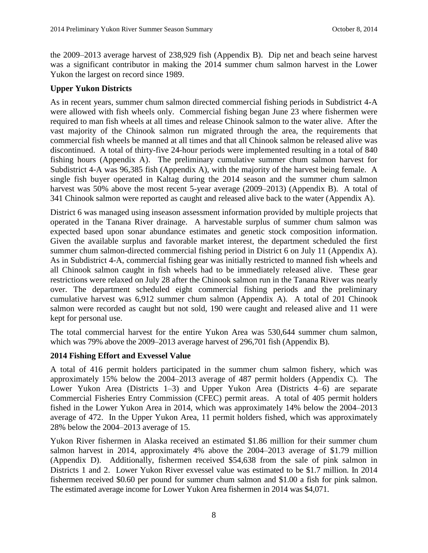the 2009–2013 average harvest of 238,929 fish (Appendix B). Dip net and beach seine harvest was a significant contributor in making the 2014 summer chum salmon harvest in the Lower Yukon the largest on record since 1989.

# **Upper Yukon Districts**

As in recent years, summer chum salmon directed commercial fishing periods in Subdistrict 4-A were allowed with fish wheels only. Commercial fishing began June 23 where fishermen were required to man fish wheels at all times and release Chinook salmon to the water alive. After the vast majority of the Chinook salmon run migrated through the area, the requirements that commercial fish wheels be manned at all times and that all Chinook salmon be released alive was discontinued. A total of thirty-five 24-hour periods were implemented resulting in a total of 840 fishing hours (Appendix A). The preliminary cumulative summer chum salmon harvest for Subdistrict 4-A was 96,385 fish (Appendix A), with the majority of the harvest being female. A single fish buyer operated in Kaltag during the 2014 season and the summer chum salmon harvest was 50% above the most recent 5-year average (2009–2013) (Appendix B). A total of 341 Chinook salmon were reported as caught and released alive back to the water (Appendix A).

District 6 was managed using inseason assessment information provided by multiple projects that operated in the Tanana River drainage. A harvestable surplus of summer chum salmon was expected based upon sonar abundance estimates and genetic stock composition information. Given the available surplus and favorable market interest, the department scheduled the first summer chum salmon-directed commercial fishing period in District 6 on July 11 (Appendix A). As in Subdistrict 4-A, commercial fishing gear was initially restricted to manned fish wheels and all Chinook salmon caught in fish wheels had to be immediately released alive. These gear restrictions were relaxed on July 28 after the Chinook salmon run in the Tanana River was nearly over. The department scheduled eight commercial fishing periods and the preliminary cumulative harvest was 6,912 summer chum salmon (Appendix A). A total of 201 Chinook salmon were recorded as caught but not sold, 190 were caught and released alive and 11 were kept for personal use.

The total commercial harvest for the entire Yukon Area was 530,644 summer chum salmon, which was 79% above the 2009–2013 average harvest of 296,701 fish (Appendix B).

#### **2014 Fishing Effort and Exvessel Value**

A total of 416 permit holders participated in the summer chum salmon fishery, which was approximately 15% below the 2004–2013 average of 487 permit holders (Appendix C). The Lower Yukon Area (Districts 1–3) and Upper Yukon Area (Districts 4–6) are separate Commercial Fisheries Entry Commission (CFEC) permit areas. A total of 405 permit holders fished in the Lower Yukon Area in 2014, which was approximately 14% below the 2004–2013 average of 472. In the Upper Yukon Area, 11 permit holders fished, which was approximately 28% below the 2004–2013 average of 15.

Yukon River fishermen in Alaska received an estimated \$1.86 million for their summer chum salmon harvest in 2014, approximately 4% above the 2004–2013 average of \$1.79 million (Appendix D). Additionally, fishermen received \$54,638 from the sale of pink salmon in Districts 1 and 2. Lower Yukon River exvessel value was estimated to be \$1.7 million. In 2014 fishermen received \$0.60 per pound for summer chum salmon and \$1.00 a fish for pink salmon. The estimated average income for Lower Yukon Area fishermen in 2014 was \$4,071.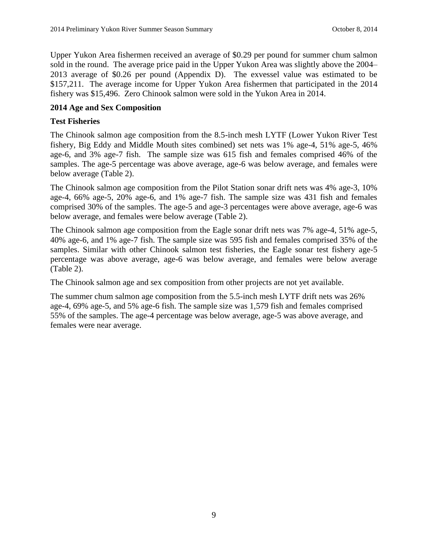Upper Yukon Area fishermen received an average of \$0.29 per pound for summer chum salmon sold in the round. The average price paid in the Upper Yukon Area was slightly above the 2004– 2013 average of \$0.26 per pound (Appendix D). The exvessel value was estimated to be \$157,211. The average income for Upper Yukon Area fishermen that participated in the 2014 fishery was \$15,496. Zero Chinook salmon were sold in the Yukon Area in 2014.

#### **2014 Age and Sex Composition**

#### **Test Fisheries**

The Chinook salmon age composition from the 8.5-inch mesh LYTF (Lower Yukon River Test fishery, Big Eddy and Middle Mouth sites combined) set nets was 1% age-4, 51% age-5, 46% age-6, and 3% age-7 fish. The sample size was 615 fish and females comprised 46% of the samples. The age-5 percentage was above average, age-6 was below average, and females were below average (Table 2).

The Chinook salmon age composition from the Pilot Station sonar drift nets was 4% age-3, 10% age-4, 66% age-5, 20% age-6, and 1% age-7 fish. The sample size was 431 fish and females comprised 30% of the samples. The age-5 and age-3 percentages were above average, age-6 was below average, and females were below average (Table 2).

The Chinook salmon age composition from the Eagle sonar drift nets was 7% age-4, 51% age-5, 40% age-6, and 1% age-7 fish. The sample size was 595 fish and females comprised 35% of the samples. Similar with other Chinook salmon test fisheries, the Eagle sonar test fishery age-5 percentage was above average, age-6 was below average, and females were below average (Table 2).

The Chinook salmon age and sex composition from other projects are not yet available.

The summer chum salmon age composition from the 5.5-inch mesh LYTF drift nets was 26% age-4, 69% age-5, and 5% age-6 fish. The sample size was 1,579 fish and females comprised 55% of the samples. The age-4 percentage was below average, age-5 was above average, and females were near average.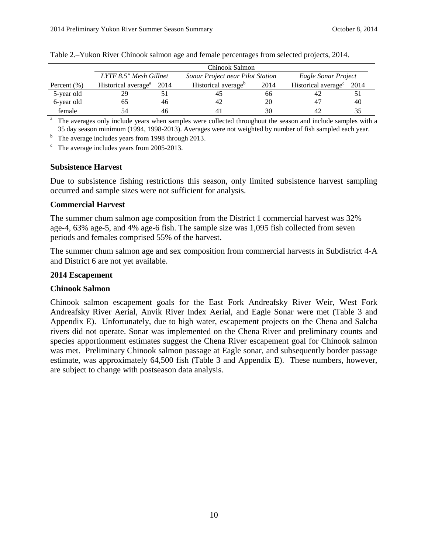|                 | Chinook Salmon                       |    |                                  |      |                                 |      |  |  |  |  |  |  |  |
|-----------------|--------------------------------------|----|----------------------------------|------|---------------------------------|------|--|--|--|--|--|--|--|
|                 | LYTF 8.5" Mesh Gillnet               |    | Sonar Project near Pilot Station |      | Eagle Sonar Project             |      |  |  |  |  |  |  |  |
| Percent $(\% )$ | Historical average <sup>a</sup> 2014 |    | Historical average <sup>b</sup>  | 2014 | Historical average <sup>c</sup> | 2014 |  |  |  |  |  |  |  |
| 5-year old      | 29                                   |    |                                  | 66   |                                 |      |  |  |  |  |  |  |  |
| 6-year old      | 60                                   | 46 |                                  | 20   | 47                              | 40   |  |  |  |  |  |  |  |
| female          |                                      | 46 |                                  | 30   |                                 |      |  |  |  |  |  |  |  |

Table 2.–Yukon River Chinook salmon age and female percentages from selected projects, 2014.

<sup>a</sup> The averages only include years when samples were collected throughout the season and include samples with a 35 day season minimum (1994, 1998-2013). Averages were not weighted by number of fish sampled each year.

 $<sup>b</sup>$  The average includes years from 1998 through 2013.</sup>

 $\degree$  The average includes years from 2005-2013.

#### **Subsistence Harvest**

Due to subsistence fishing restrictions this season, only limited subsistence harvest sampling occurred and sample sizes were not sufficient for analysis.

#### **Commercial Harvest**

The summer chum salmon age composition from the District 1 commercial harvest was 32% age-4, 63% age-5, and 4% age-6 fish. The sample size was 1,095 fish collected from seven periods and females comprised 55% of the harvest.

The summer chum salmon age and sex composition from commercial harvests in Subdistrict 4-A and District 6 are not yet available.

#### **2014 Escapement**

#### **Chinook Salmon**

Chinook salmon escapement goals for the East Fork Andreafsky River Weir, West Fork Andreafsky River Aerial, Anvik River Index Aerial, and Eagle Sonar were met (Table 3 and Appendix E). Unfortunately, due to high water, escapement projects on the Chena and Salcha rivers did not operate. Sonar was implemented on the Chena River and preliminary counts and species apportionment estimates suggest the Chena River escapement goal for Chinook salmon was met. Preliminary Chinook salmon passage at Eagle sonar, and subsequently border passage estimate, was approximately 64,500 fish (Table 3 and Appendix E). These numbers, however, are subject to change with postseason data analysis.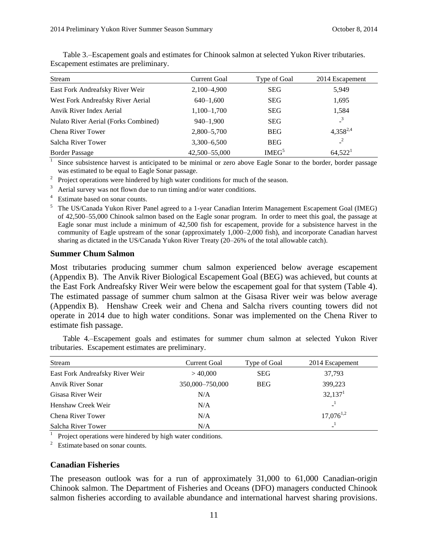| Stream                               | <b>Current Goal</b> | Type of Goal      | 2014 Escapement |
|--------------------------------------|---------------------|-------------------|-----------------|
| East Fork Andreafsky River Weir      | 2,100-4,900         | <b>SEG</b>        | 5,949           |
| West Fork Andreafsky River Aerial    | $640 - 1,600$       | <b>SEG</b>        | 1,695           |
| Anvik River Index Aerial             | $1,100-1,700$       | <b>SEG</b>        | 1,584           |
| Nulato River Aerial (Forks Combined) | $940 - 1,900$       | <b>SEG</b>        | $\overline{3}$  |
| Chena River Tower                    | 2,800-5,700         | <b>BEG</b>        | $4,358^{2,4}$   |
| Salcha River Tower                   | $3,300 - 6,500$     | <b>BEG</b>        | $\mathbf{r}^2$  |
| <b>Border Passage</b>                | 42,500-55,000       | IMEG <sup>5</sup> | $64,522^1$      |

Table 3.–Escapement goals and estimates for Chinook salmon at selected Yukon River tributaries. Escapement estimates are preliminary.

1 Since subsistence harvest is anticipated to be minimal or zero above Eagle Sonar to the border, border passage was estimated to be equal to Eagle Sonar passage.

 $2^{\circ}$  Project operations were hindered by high water conditions for much of the season.

Aerial survey was not flown due to run timing and/or water conditions.

<sup>4</sup> Estimate based on sonar counts.

<sup>5</sup> The US/Canada Yukon River Panel agreed to a 1-year Canadian Interim Management Escapement Goal (IMEG) of 42,500–55,000 Chinook salmon based on the Eagle sonar program. In order to meet this goal, the passage at Eagle sonar must include a minimum of 42,500 fish for escapement, provide for a subsistence harvest in the community of Eagle upstream of the sonar (approximately 1,000–2,000 fish), and incorporate Canadian harvest sharing as dictated in the US/Canada Yukon River Treaty (20–26% of the total allowable catch).

#### **Summer Chum Salmon**

Most tributaries producing summer chum salmon experienced below average escapement (Appendix B). The Anvik River Biological Escapement Goal (BEG) was achieved, but counts at the East Fork Andreafsky River Weir were below the escapement goal for that system (Table 4). The estimated passage of summer chum salmon at the Gisasa River weir was below average (Appendix B). Henshaw Creek weir and Chena and Salcha rivers counting towers did not operate in 2014 due to high water conditions. Sonar was implemented on the Chena River to estimate fish passage.

Table 4.–Escapement goals and estimates for summer chum salmon at selected Yukon River tributaries. Escapement estimates are preliminary.

| Stream                          | <b>Current Goal</b> | Type of Goal | 2014 Escapement     |
|---------------------------------|---------------------|--------------|---------------------|
| East Fork Andreafsky River Weir | >40,000             | <b>SEG</b>   | 37,793              |
| <b>Anvik River Sonar</b>        | 350,000-750,000     | <b>BEG</b>   | 399,223             |
| Gisasa River Weir               | N/A                 |              | 32,137 <sup>1</sup> |
| Henshaw Creek Weir              | N/A                 |              |                     |
| Chena River Tower               | N/A                 |              | $17,076^{1,2}$      |
| Salcha River Tower              | N/A                 |              |                     |

<sup>1</sup> Project operations were hindered by high water conditions.

 $2\degree$  Estimate based on sonar counts.

#### **Canadian Fisheries**

The preseason outlook was for a run of approximately 31,000 to 61,000 Canadian-origin Chinook salmon. The Department of Fisheries and Oceans (DFO) managers conducted Chinook salmon fisheries according to available abundance and international harvest sharing provisions.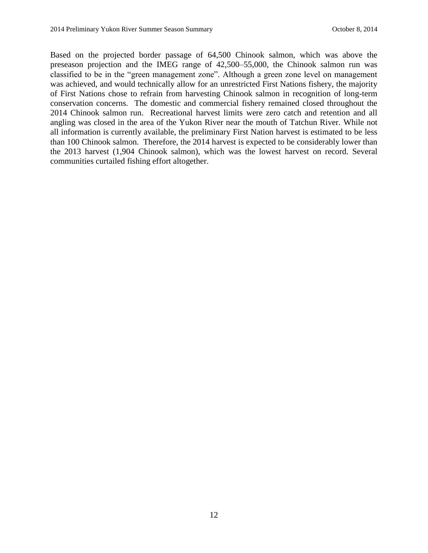Based on the projected border passage of 64,500 Chinook salmon, which was above the preseason projection and the IMEG range of 42,500–55,000, the Chinook salmon run was classified to be in the "green management zone". Although a green zone level on management was achieved, and would technically allow for an unrestricted First Nations fishery, the majority of First Nations chose to refrain from harvesting Chinook salmon in recognition of long-term conservation concerns. The domestic and commercial fishery remained closed throughout the 2014 Chinook salmon run. Recreational harvest limits were zero catch and retention and all angling was closed in the area of the Yukon River near the mouth of Tatchun River. While not all information is currently available, the preliminary First Nation harvest is estimated to be less than 100 Chinook salmon. Therefore, the 2014 harvest is expected to be considerably lower than the 2013 harvest (1,904 Chinook salmon), which was the lowest harvest on record. Several communities curtailed fishing effort altogether.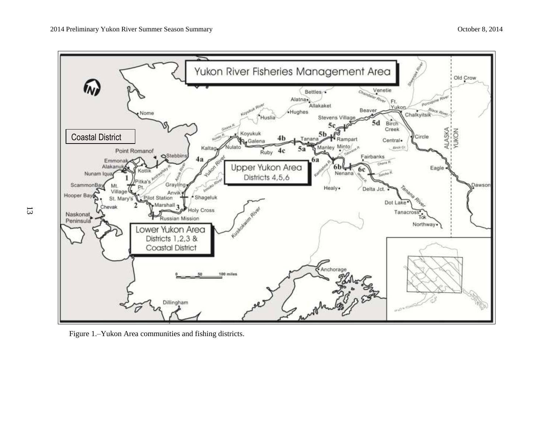

Figure 1.–Yukon Area communities and fishing districts.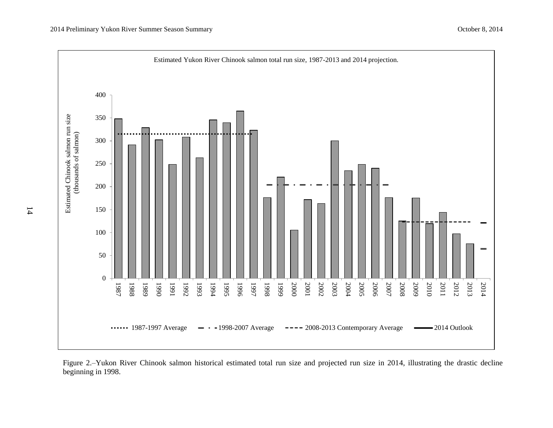

Figure 2.–Yukon River Chinook salmon historical estimated total run size and projected run size in 2014, illustrating the drastic decline beginning in 1998.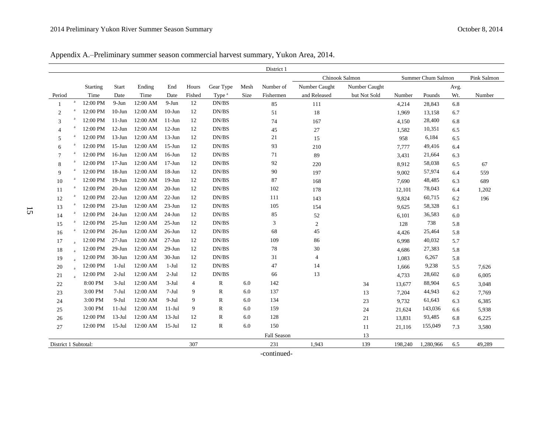Appendix A.–Preliminary summer season commercial harvest summary, Yukon Area, 2014.

|                      |              |          |            |          |            |        |                   |      | District 1  |                |               |         |                    |      |             |
|----------------------|--------------|----------|------------|----------|------------|--------|-------------------|------|-------------|----------------|---------------|---------|--------------------|------|-------------|
|                      |              |          |            |          |            |        |                   |      |             | Chinook Salmon |               |         | Summer Chum Salmon |      | Pink Salmon |
|                      |              | Starting | Start      | Ending   | End        | Hours  | Gear Type         | Mesh | Number of   | Number Caught  | Number Caught |         |                    | Avg. |             |
| Period               |              | Time     | Date       | Time     | Date       | Fished | Type <sup>a</sup> | Size | Fishermen   | and Released   | but Not Sold  | Number  | Pounds             | Wt.  | Number      |
|                      | $\rm{a}$     | 12:00 PM | $9-Jun$    | 12:00 AM | $9-Jun$    | 12     | DN/BS             |      | 85          | 111            |               | 4,214   | 28,843             | 6.8  |             |
| $\overline{2}$       | a            | 12:00 PM | $10-J$ un  | 12:00 AM | $10$ -Jun  | 12     | DN/BS             |      | 51          | 18             |               | 1,969   | 13,158             | 6.7  |             |
| 3                    | a            | 12:00 PM | $11-Jun$   | 12:00 AM | $11-J$ un  | 12     | DN/BS             |      | 74          | 167            |               | 4,150   | 28,400             | 6.8  |             |
| $\overline{4}$       | a            | 12:00 PM | $12-Jun$   | 12:00 AM | $12-Jun$   | 12     | DN/BS             |      | 45          | $27\,$         |               | 1,582   | 10,351             | 6.5  |             |
| 5                    | a            | 12:00 PM | $13-Jun$   | 12:00 AM | $13$ -Jun  | 12     | DN/BS             |      | 21          | 15             |               | 958     | 6,184              | 6.5  |             |
| 6                    | a            | 12:00 PM | $15$ -Jun  | 12:00 AM | $15$ -Jun  | 12     | DN/BS             |      | 93          | 210            |               | 7,777   | 49,416             | 6.4  |             |
| 7                    | a            | 12:00 PM | $16$ -Jun  | 12:00 AM | $16$ -Jun  | 12     | DN/BS             |      | 71          | 89             |               | 3,431   | 21,664             | 6.3  |             |
| 8                    |              | 12:00 PM | $17-Jun$   | 12:00 AM | $17 - Jun$ | 12     | DN/BS             |      | 92          | 220            |               | 8,912   | 58,038             | 6.5  | 67          |
| 9                    | a            | 12:00 PM | $18 - Jun$ | 12:00 AM | $18 - Jun$ | 12     | DN/BS             |      | 90          | 197            |               | 9,002   | 57,974             | 6.4  | 559         |
| 10                   | $\rm{a}$     | 12:00 PM | $19-J$ un  | 12:00 AM | $19-Jun$   | 12     | DN/BS             |      | 87          | 168            |               | 7,690   | 48,485             | 6.3  | 689         |
| 11                   | $\rm{a}$     | 12:00 PM | $20$ -Jun  | 12:00 AM | $20$ -Jun  | 12     | DN/BS             |      | 102         | 178            |               | 12,101  | 78,043             | 6.4  | 1,202       |
| 12                   | $\rm{a}$     | 12:00 PM | $22$ -Jun  | 12:00 AM | $22$ -Jun  | 12     | DN/BS             |      | 111         | 143            |               | 9,824   | 60,715             | 6.2  | 196         |
| 13                   | $\rm{a}$     | 12:00 PM | $23-Jun$   | 12:00 AM | $23-Jun$   | 12     | DN/BS             |      | 105         | 154            |               | 9,625   | 58,328             | 6.1  |             |
| 14                   | $\rm{a}$     | 12:00 PM | $24-Jun$   | 12:00 AM | $24$ -Jun  | 12     | DN/BS             |      | 85          | 52             |               | 6,101   | 36,583             | 6.0  |             |
| 15                   | $\rm{a}$     | 12:00 PM | $25 - Jun$ | 12:00 AM | $25 - Jun$ | 12     | DN/BS             |      | 3           | $\mathfrak{2}$ |               | 128     | 738                | 5.8  |             |
| 16                   | $\rm{a}$     | 12:00 PM | $26$ -Jun  | 12:00 AM | $26$ -Jun  | 12     | DN/BS             |      | 68          | 45             |               | 4,426   | 25,464             | 5.8  |             |
| 17                   | $\mathbf{a}$ | 12:00 PM | $27 - Jun$ | 12:00 AM | $27 - Jun$ | 12     | DN/BS             |      | 109         | 86             |               | 6,998   | 40,032             | 5.7  |             |
| 18                   | a            | 12:00 PM | $29$ -Jun  | 12:00 AM | $29-Jun$   | 12     | DN/BS             |      | 78          | 30             |               | 4,686   | 27,383             | 5.8  |             |
| 19                   | a            | 12:00 PM | $30-J$ un  | 12:00 AM | $30-J$ un  | 12     | DN/BS             |      | 31          | $\overline{4}$ |               | 1,083   | 6,267              | 5.8  |             |
| 20                   | $\mathbf{a}$ | 12:00 PM | 1-Jul      | 12:00 AM | $1-Jul$    | 12     | DN/BS             |      | 47          | 14             |               | 1,666   | 9,238              | 5.5  | 7,626       |
| 21                   | $\mathbf{a}$ | 12:00 PM | $2-Jul$    | 12:00 AM | $2-Jul$    | 12     | DN/BS             |      | 66          | 13             |               | 4,733   | 28,602             | 6.0  | 6,005       |
| 22                   |              | 8:00 PM  | $3-Jul$    | 12:00 AM | $3-Jul$    | 4      | R                 | 6.0  | 142         |                | 34            | 13,677  | 88,904             | 6.5  | 3,048       |
| 23                   |              | 3:00 PM  | $7-Jul$    | 12:00 AM | $7-Jul$    | 9      | R                 | 6.0  | 137         |                | 13            | 7,204   | 44,943             | 6.2  | 7,769       |
| 24                   |              | 3:00 PM  | $9-Jul$    | 12:00 AM | $9-Jul$    | 9      | $\mathbb R$       | 6.0  | 134         |                | 23            | 9,732   | 61,643             | 6.3  | 6,385       |
| 25                   |              | 3:00 PM  | $11-Jul$   | 12:00 AM | $11-Jul$   | 9      | $\mathbb{R}$      | 6.0  | 159         |                | 24            | 21,624  | 143,036            | 6.6  | 5,938       |
| 26                   |              | 12:00 PM | $13-Jul$   | 12:00 AM | $13-Jul$   | 12     | $\mathbb{R}$      | 6.0  | 128         |                | 21            | 13,831  | 93,485             | 6.8  | 6,225       |
| 27                   |              | 12:00 PM | $15$ -Jul  | 12:00 AM | $15-Jul$   | 12     | $\mathbb{R}$      | 6.0  | 150         |                | 11            | 21,116  | 155,049            | 7.3  | 3,580       |
|                      |              |          |            |          |            |        |                   |      | Fall Season |                | 13            |         |                    |      |             |
| District 1 Subtotal: |              |          |            |          |            | 307    |                   |      | 231         | 1,943          | 139           | 198,240 | 1,280,966          | 6.5  | 49,289      |

-continued-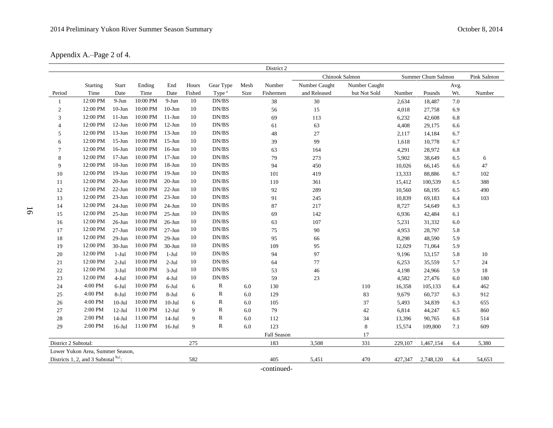Appendix A.–Page 2 of 4.

|                      |                                        |            |          |            |        |                   |         | District 2  |                |               |         |                    |      |             |
|----------------------|----------------------------------------|------------|----------|------------|--------|-------------------|---------|-------------|----------------|---------------|---------|--------------------|------|-------------|
|                      |                                        |            |          |            |        |                   |         |             | Chinook Salmon |               |         | Summer Chum Salmon |      | Pink Salmon |
|                      | Starting                               | Start      | Ending   | End        | Hours  | Gear Type         | Mesh    | Number      | Number Caught  | Number Caught |         |                    | Avg. |             |
| Period               | Time                                   | Date       | Time     | Date       | Fished | Type <sup>a</sup> | Size    | Fishermen   | and Released   | but Not Sold  | Number  | Pounds             | Wt.  | Number      |
| -1                   | 12:00 PM                               | $9-Jun$    | 10:00 PM | 9-Jun      | 10     | DN/BS             |         | 38          | $30\,$         |               | 2,634   | 18,487             | 7.0  |             |
| $\boldsymbol{2}$     | 12:00 PM                               | $10$ -Jun  | 10:00 PM | $10$ -Jun  | 10     | DN/BS             |         | 56          | 15             |               | 4,018   | 27,758             | 6.9  |             |
| 3                    | 12:00 PM                               | $11-Jun$   | 10:00 PM | $11-Jun$   | 10     | DN/BS             |         | 69          | 113            |               | 6,232   | 42,608             | 6.8  |             |
| $\overline{4}$       | 12:00 PM                               | $12-Jun$   | 10:00 PM | $12-Jun$   | $10\,$ | DN/BS             |         | 61          | 63             |               | 4,408   | 29,175             | 6.6  |             |
| 5                    | 12:00 PM                               | $13-Jun$   | 10:00 PM | $13$ -Jun  | 10     | DN/BS             |         | 48          | $27\,$         |               | 2,117   | 14,184             | 6.7  |             |
| 6                    | 12:00 PM                               | $15$ -Jun  | 10:00 PM | $15$ -Jun  | 10     | DN/BS             |         | 39          | 99             |               | 1,618   | 10,778             | 6.7  |             |
| 7                    | 12:00 PM                               | $16$ -Jun  | 10:00 PM | $16$ -Jun  | $10\,$ | DN/BS             |         | 63          | 164            |               | 4,291   | 28,972             | 6.8  |             |
| 8                    | 12:00 PM                               | $17 - Jun$ | 10:00 PM | $17 - Jun$ | 10     | DN/BS             |         | 79          | 273            |               | 5,902   | 38,649             | 6.5  | 6           |
| 9                    | 12:00 PM                               | $18 - Jun$ | 10:00 PM | $18 - Jun$ | 10     | DN/BS             |         | 94          | 450            |               | 10,026  | 66,145             | 6.6  | 47          |
| 10                   | 12:00 PM                               | $19-Jun$   | 10:00 PM | $19-Jun$   | 10     | DN/BS             |         | 101         | 419            |               | 13,333  | 88,886             | 6.7  | 102         |
| 11                   | 12:00 PM                               | $20$ -Jun  | 10:00 PM | $20 - Jun$ | $10\,$ | DN/BS             |         | 110         | 361            |               | 15,412  | 100,539            | 6.5  | 388         |
| 12                   | 12:00 PM                               | $22$ -Jun  | 10:00 PM | $22$ -Jun  | 10     | DN/BS             |         | 92          | 289            |               | 10,560  | 68,195             | 6.5  | 490         |
| 13                   | 12:00 PM                               | $23-Jun$   | 10:00 PM | $23$ -Jun  | 10     | DN/BS             |         | 91          | 245            |               | 10,839  | 69,183             | 6.4  | 103         |
| 14                   | 12:00 PM                               | $24-Jun$   | 10:00 PM | $24-Jun$   | 10     | DN/BS             |         | 87          | 217            |               | 8,727   | 54,649             | 6.3  |             |
| 15                   | 12:00 PM                               | $25 - Jun$ | 10:00 PM | $25 - Jun$ | 10     | DN/BS             |         | 69          | 142            |               | 6,936   | 42,484             | 6.1  |             |
| 16                   | 12:00 PM                               | $26$ -Jun  | 10:00 PM | $26$ -Jun  | 10     | DN/BS             |         | 63          | 107            |               | 5,231   | 31,332             | 6.0  |             |
| 17                   | 12:00 PM                               | $27 - Jun$ | 10:00 PM | $27 - Jun$ | 10     | DN/BS             |         | 75          | 90             |               | 4,953   | 28,797             | 5.8  |             |
| 18                   | 12:00 PM                               | $29-Jun$   | 10:00 PM | $29-Jun$   | $10\,$ | DN/BS             |         | 95          | 66             |               | 8,298   | 48,590             | 5.9  |             |
| 19                   | 12:00 PM                               | 30-Jun     | 10:00 PM | $30-J$ un  | 10     | DN/BS             |         | 109         | 95             |               | 12,029  | 71,064             | 5.9  |             |
| 20                   | 12:00 PM                               | $1-Jul$    | 10:00 PM | $1-Ju1$    | 10     | DN/BS             |         | 94          | 97             |               | 9,196   | 53,157             | 5.8  | 10          |
| 21                   | 12:00 PM                               | $2-Jul$    | 10:00 PM | $2-Jul$    | 10     | DN/BS             |         | 64          | $77\,$         |               | 6,253   | 35,559             | 5.7  | $24\,$      |
| 22                   | 12:00 PM                               | $3-Jul$    | 10:00 PM | $3-Jul$    | $10\,$ | DN/BS             |         | 53          | 46             |               | 4,198   | 24,966             | 5.9  | 18          |
| 23                   | 12:00 PM                               | $4-Jul$    | 10:00 PM | $4-Jul$    | 10     | DN/BS             |         | 59          | 23             |               | 4,582   | 27,476             | 6.0  | 180         |
| 24                   | 4:00 PM                                | 6-Jul      | 10:00 PM | $6-Jul$    | 6      | R                 | 6.0     | 130         |                | 110           | 16,358  | 105,133            | 6.4  | 462         |
| 25                   | 4:00 PM                                | 8-Jul      | 10:00 PM | $8-Ju1$    | 6      | $\mathbb{R}$      | $6.0\,$ | 129         |                | 83            | 9,679   | 60,737             | 6.3  | 912         |
| 26                   | 4:00 PM                                | $10-Ju1$   | 10:00 PM | $10-Jul$   | 6      | $\mathbb{R}$      | 6.0     | 105         |                | 37            | 5,493   | 34,839             | 6.3  | 655         |
| 27                   | 2:00 PM                                | $12-Jul$   | 11:00 PM | $12-Jul$   | 9      | $\mathbb R$       | 6.0     | 79          |                | 42            | 6,814   | 44,247             | 6.5  | 860         |
| 28                   | 2:00 PM                                | $14-Jul$   | 11:00 PM | $14-Jul$   | 9      | $\mathbb{R}$      | 6.0     | 112         |                | 34            | 13,396  | 90,765             | 6.8  | 514         |
| 29                   | 2:00 PM                                | $16$ -Jul  | 11:00 PM | $16$ -Jul  | 9      | $\mathbb{R}$      | 6.0     | 123         |                | $\,8\,$       | 15,574  | 109,800            | 7.1  | 609         |
|                      |                                        |            |          |            |        |                   |         | Fall Season |                | 17            |         |                    |      |             |
| District 2 Subtotal: |                                        |            |          |            | 275    |                   |         | 183         | 3,508          | 331           | 229,107 | 1,467,154          | 6.4  | 5,380       |
|                      | Lower Yukon Area, Summer Season,       |            |          |            |        |                   |         |             |                |               |         |                    |      |             |
|                      | Districts 1, 2, and 3 Subtotal $b,c$ : |            |          |            | 582    |                   |         | 405         | 5,451          | 470           | 427,347 | 2,748,120          | 6.4  | 54,653      |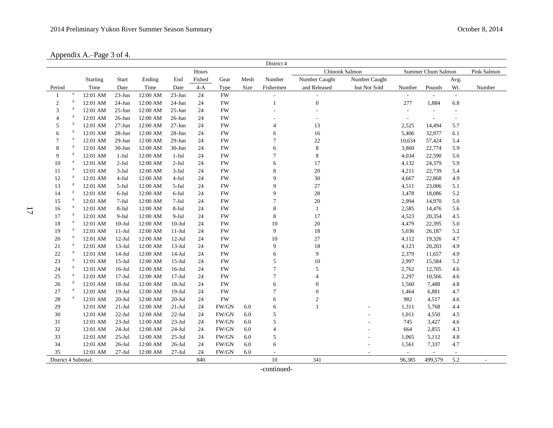Appendix A.–Page 3 of 4.

|                      |             |                 |            |          |            |        |           |      | District 4     |                         |                |                          |                          |                          |             |
|----------------------|-------------|-----------------|------------|----------|------------|--------|-----------|------|----------------|-------------------------|----------------|--------------------------|--------------------------|--------------------------|-------------|
|                      |             |                 |            |          |            | Hours  |           |      |                |                         | Chinook Salmon |                          | Summer Chum Salmon       |                          | Pink Salmon |
|                      |             | <b>Starting</b> | Start      | Ending   | End        | Fished | Gear      | Mesh | Number         | Number Caught           | Number Caught  |                          |                          | Avg.                     |             |
| Period               |             | Time            | Date       | Time     | Date       | $4-A$  | Type      | Size | Fishermen      | and Released            | but Not Sold   | Number                   | Pounds                   | Wt.                      | Number      |
| $\mathbf{1}$         | d           | 12:01 AM        | $23-Jun$   | 12:00 AM | $23 - Jun$ | 24     | <b>FW</b> |      |                |                         |                |                          | $\overline{\phantom{a}}$ | $\overline{\phantom{a}}$ |             |
| $\boldsymbol{2}$     | d           | 12:01 AM        | $24-Jun$   | 12:00 AM | $24$ -Jun  | 24     | <b>FW</b> |      | $\mathbf{1}$   | $\boldsymbol{0}$        |                | 277                      | 1,884                    | 6.8                      |             |
| 3                    | d           | 12:01 AM        | $25 - Jun$ | 12:00 AM | $25 - Jun$ | 24     | <b>FW</b> |      |                |                         |                | $\overline{\phantom{a}}$ | $\overline{\phantom{a}}$ |                          |             |
| $\overline{4}$       | d           | 12:01 AM        | $26$ -Jun  | 12:00 AM | $26$ -Jun  | 24     | <b>FW</b> |      |                |                         |                |                          |                          |                          |             |
| 5                    | $\mathbf d$ | 12:01 AM        | $27 - Jun$ | 12:00 AM | $27 - Jun$ | 24     | <b>FW</b> |      | $\overline{4}$ | 13                      |                | 2,525                    | 14,494                   | 5.7                      |             |
| 6                    | d           | 12:01 AM        | 28-Jun     | 12:00 AM | 28-Jun     | 24     | <b>FW</b> |      | 6              | 16                      |                | 5,406                    | 32,977                   | 6.1                      |             |
| 7                    | d           | 12:01 AM        | $29-Jun$   | 12:00 AM | $29-Jun$   | 24     | <b>FW</b> |      | $\overline{7}$ | 22                      |                | 10,634                   | 57,424                   | 5.4                      |             |
| 8                    | d           | 12:01 AM        | $30 - Jun$ | 12:00 AM | $30-J$ un  | 24     | <b>FW</b> |      | 6              | $\,$ 8 $\,$             |                | 3,860                    | 22,774                   | 5.9                      |             |
| 9                    | d           | 12:01 AM        | $1-Jul$    | 12:00 AM | $1-Jul$    | 24     | <b>FW</b> |      | $\overline{7}$ | 8                       |                | 4,034                    | 22,590                   | 5.6                      |             |
| 10                   | d           | 12:01 AM        | $2-Jul$    | 12:00 AM | $2-Jul$    | 24     | <b>FW</b> |      | 6              | 17                      |                | 4,132                    | 24,379                   | 5.9                      |             |
| 11                   | $\mathbf d$ | 12:01 AM        | $3-Jul$    | 12:00 AM | $3-Jul$    | 24     | <b>FW</b> |      | 8              | $20\,$                  |                | 4,211                    | 22,739                   | 5.4                      |             |
| $12\,$               | d           | 12:01 AM        | 4-Jul      | 12:00 AM | 4-Jul      | 24     | <b>FW</b> |      | 9              | $30\,$                  |                | 4,667                    | 22,868                   | 4.9                      |             |
| 13                   | $\mathbf d$ | 12:01 AM        | 5-Jul      | 12:00 AM | 5-Jul      | 24     | <b>FW</b> |      | 9              | $27\,$                  |                | 4,511                    | 23,006                   | 5.1                      |             |
| 14                   | d           | 12:01 AM        | $6$ -Jul   | 12:00 AM | $6$ -Jul   | 24     | <b>FW</b> |      | 9              | $28\,$                  |                | 3,478                    | 18,086                   | 5.2                      |             |
| 15                   | d           | 12:01 AM        | $7-Jul$    | 12:00 AM | $7-Jul$    | 24     | <b>FW</b> |      | $\overline{7}$ | $20\,$                  |                | 2,994                    | 14,970                   | 5.0                      |             |
| $16\,$               | d           | 12:01 AM        | 8-Jul      | 12:00 AM | 8-Jul      | 24     | <b>FW</b> |      | 8              | $\mathbf{1}$            |                | 2,585                    | 14,476                   | 5.6                      |             |
| 17                   | d           | 12:01 AM        | $9-Jul$    | 12:00 AM | $9-Jul$    | 24     | <b>FW</b> |      | 8              | 17                      |                | 4,523                    | 20,354                   | 4.5                      |             |
| 18                   | d           | 12:01 AM        | $10 -$ Jul | 12:00 AM | $10 -$ Jul | 24     | <b>FW</b> |      | 10             | $20\,$                  |                | 4,479                    | 22,395                   | 5.0                      |             |
| 19                   | $\mathbf d$ | 12:01 AM        | $11-Jul$   | 12:00 AM | $11-Jul$   | 24     | <b>FW</b> |      | 9              | $18\,$                  |                | 5,036                    | 26,187                   | 5.2                      |             |
| 20                   | $\mathbf d$ | 12:01 AM        | $12-Jul$   | 12:00 AM | $12-Jul$   | 24     | <b>FW</b> |      | 10             | $27\,$                  |                | 4,112                    | 19,326                   | 4.7                      |             |
| 21                   | d           | 12:01 AM        | $13-Jul$   | 12:00 AM | $13-Jul$   | 24     | <b>FW</b> |      | 9              | $18\,$                  |                | 4,123                    | 20,203                   | 4.9                      |             |
| $22\,$               | d           | 12:01 AM        | $14-Jul$   | 12:00 AM | $14-Jul$   | 24     | <b>FW</b> |      | 6              | 9                       |                | 2,379                    | 11,657                   | 4.9                      |             |
| 23                   | d           | 12:01 AM        | $15-Jul$   | 12:00 AM | $15$ -Jul  | 24     | <b>FW</b> |      | 5              | $10\,$                  |                | 2,997                    | 15,584                   | 5.2                      |             |
| 24                   | $\mathbf d$ | 12:01 AM        | $16$ -Jul  | 12:00 AM | $16$ -Jul  | 24     | <b>FW</b> |      | $\tau$         | 5                       |                | 2,762                    | 12,705                   | 4.6                      |             |
| $25\,$               | $\mathbf d$ | 12:01 AM        | $17-Jul$   | 12:00 AM | $17 -$ Jul | 24     | <b>FW</b> |      | $\tau$         | $\overline{\mathbf{4}}$ |                | 2,297                    | 10,566                   | 4.6                      |             |
| 26                   | $\mathbf d$ | 12:01 AM        | $18-Ju1$   | 12:00 AM | $18 - Jul$ | 24     | <b>FW</b> |      | 6              | $\boldsymbol{0}$        |                | 1,560                    | 7,488                    | 4.8                      |             |
| 27                   | d           | 12:01 AM        | $19-Jul$   | 12:00 AM | $19-Jul$   | 24     | <b>FW</b> |      | $\overline{7}$ | $\boldsymbol{0}$        |                | 1,464                    | 6,881                    | 4.7                      |             |
| $28\,$               | d           | 12:01 AM        | $20 -$ Jul | 12:00 AM | $20 -$ Jul | 24     | <b>FW</b> |      | 6              | $\mathbf{2}$            |                | 982                      | 4,517                    | 4.6                      |             |
| 29                   |             | 12:01 AM        | $21-Jul$   | 12:00 AM | $21-Jul$   | 24     | FW/GN     | 6.0  | 6              |                         |                | 1,311                    | 5,768                    | 4.4                      |             |
| 30                   |             | 12:01 AM        | $22-Jul$   | 12:00 AM | $22$ -Jul  | 24     | FW/GN     | 6.0  | 5              |                         |                | 1,011                    | 4,550                    | 4.5                      |             |
| 31                   |             | 12:01 AM        | $23-Jul$   | 12:00 AM | $23-Jul$   | 24     | FW/GN     | 6.0  | 5              |                         |                | 745                      | 3,427                    | 4.6                      |             |
| $32\,$               |             | 12:01 AM        | $24-Jul$   | 12:00 AM | 24-Jul     | 24     | FW/GN     | 6.0  | $\overline{4}$ |                         |                | 664                      | 2,855                    | 4.3                      |             |
| 33                   |             | 12:01 AM        | $25-Jul$   | 12:00 AM | $25$ -Jul  | 24     | FW/GN     | 6.0  | 5              |                         |                | 1,065                    | 5,112                    | 4.8                      |             |
| 34                   |             | 12:01 AM        | $26$ -Jul  | 12:00 AM | $26$ -Jul  | 24     | FW/GN     | 6.0  | 6              |                         |                | 1,561                    | 7,337                    | 4.7                      |             |
| 35                   |             | 12:01 AM        | $27-Jul$   | 12:00 AM | $27 -$ Jul | 24     | FW/GN     | 6.0  |                |                         |                |                          | $\overline{\phantom{a}}$ |                          |             |
| District 4 Subtotal: |             |                 |            |          |            | 840    |           |      | 10             | 341                     |                | 96,385                   | 499,579                  | 5.2                      |             |

17

-continued-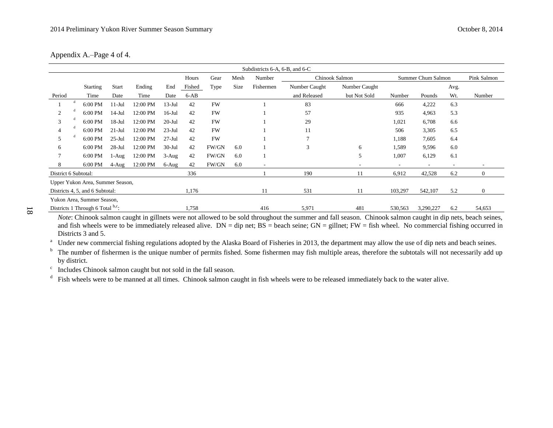| Appendix A.–Page 4 of 4. |  |
|--------------------------|--|
|--------------------------|--|

|                      | Subdistricts 6-A, 6-B, and 6-C   |              |          |           |        |           |      |                          |                |                |                          |                          |      |                  |
|----------------------|----------------------------------|--------------|----------|-----------|--------|-----------|------|--------------------------|----------------|----------------|--------------------------|--------------------------|------|------------------|
|                      |                                  |              |          |           | Hours  | Gear      | Mesh | Number                   |                | Chinook Salmon |                          | Summer Chum Salmon       |      | Pink Salmon      |
|                      | <b>Starting</b>                  | <b>Start</b> | Ending   | End       | Fished | Type      | Size | Fishermen                | Number Caught  | Number Caught  |                          |                          | Avg. |                  |
| Period               | Time                             | Date         | Time     | Date      | $6-AB$ |           |      |                          | and Released   | but Not Sold   | Number                   | Pounds                   | Wt.  | Number           |
| -d                   | 6:00 PM                          | $11-Jul$     | 12:00 PM | $13-Jul$  | 42     | <b>FW</b> |      |                          | 83             |                | 666                      | 4,222                    | 6.3  |                  |
| 2                    | 6:00 PM                          | $14$ -Jul    | 12:00 PM | $16$ -Jul | 42     | <b>FW</b> |      |                          | 57             |                | 935                      | 4,963                    | 5.3  |                  |
| 3                    | 6:00 PM                          | $18 -$ Jul   | 12:00 PM | $20$ -Jul | 42     | <b>FW</b> |      |                          | 29             |                | 1,021                    | 6,708                    | 6.6  |                  |
|                      | 6:00 PM                          | $21-Ju1$     | 12:00 PM | $23-Jul$  | 42     | <b>FW</b> |      |                          | 11             |                | 506                      | 3,305                    | 6.5  |                  |
| 5                    | 6:00 PM                          | $25$ -Jul    | 12:00 PM | $27-Jul$  | 42     | <b>FW</b> |      |                          | $\overline{7}$ |                | 1,188                    | 7,605                    | 6.4  |                  |
| 6                    | 6:00 PM                          | $28 - Jul$   | 12:00 PM | $30-Jul$  | 42     | FW/GN     | 6.0  |                          | 3              | 6              | 1,589                    | 9,596                    | 6.0  |                  |
|                      | 6:00 PM                          | $1-Aug$      | 12:00 PM | $3-Aug$   | 42     | FW/GN     | 6.0  |                          |                | 5              | 1,007                    | 6,129                    | 6.1  |                  |
| 8                    | 6:00 PM                          | 4-Aug        | 12:00 PM | 6-Aug     | 42     | FW/GN     | 6.0  | $\overline{\phantom{a}}$ |                | ٠              | $\overline{\phantom{a}}$ | $\overline{\phantom{a}}$ | ۰.   |                  |
| District 6 Subtotal: |                                  |              |          |           | 336    |           |      |                          | 190            | 11             | 6,912                    | 42,528                   | 6.2  | $\boldsymbol{0}$ |
|                      | Upper Yukon Area, Summer Season, |              |          |           |        |           |      |                          |                |                |                          |                          |      |                  |
|                      | Districts 4, 5, and 6 Subtotal:  |              |          |           | 1,176  |           |      | 11                       | 531            | 11             | 103,297                  | 542,107                  | 5.2  | $\overline{0}$   |
|                      | Yukon Area, Summer Season,       |              |          |           |        |           |      |                          |                |                |                          |                          |      |                  |
|                      | Districts 1 Through 6 Total b,c; |              |          |           | 1,758  |           |      | 416                      | 5,971          | 481            | 530,563                  | 3,290,227                | 6.2  | 54,653           |

*Note*: Chinook salmon caught in gillnets were not allowed to be sold throughout the summer and fall season. Chinook salmon caught in dip nets, beach seines, and fish wheels were to be immediately released alive.  $DN = dip$  net;  $BS = beach$  seine;  $GN = g$ illnet;  $FW = fish$  wheel. No commercial fishing occurred in Districts 3 and 5.

<sup>a</sup> Under new commercial fishing regulations adopted by the Alaska Board of Fisheries in 2013, the department may allow the use of dip nets and beach seines.

<sup>b</sup> The number of fishermen is the unique number of permits fished. Some fishermen may fish multiple areas, therefore the subtotals will not necessarily add up by district.

 $\mathbf c$ Includes Chinook salmon caught but not sold in the fall season.

d Fish wheels were to be manned at all times. Chinook salmon caught in fish wheels were to be released immediately back to the water alive.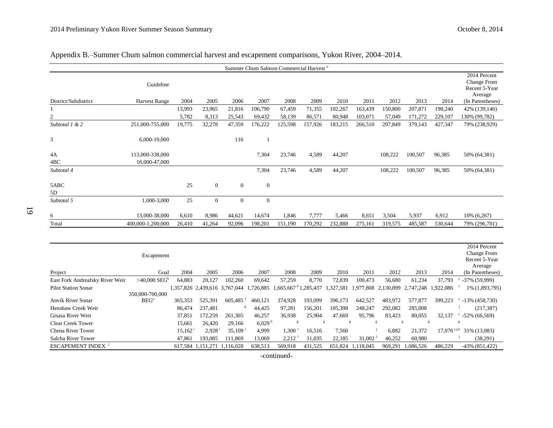| Appendix B.-Summer Chum salmon commercial harvest and escapement comparisons, Yukon River, 2004–2014. |  |
|-------------------------------------------------------------------------------------------------------|--|
|-------------------------------------------------------------------------------------------------------|--|

| Summer Chum Salmon Commercial Harvest <sup>a</sup> |                      |        |                |                |              |         |         |         |         |         |         |         |                                              |
|----------------------------------------------------|----------------------|--------|----------------|----------------|--------------|---------|---------|---------|---------|---------|---------|---------|----------------------------------------------|
|                                                    | Guideline            |        |                |                |              |         |         |         |         |         |         |         | 2014 Percent<br>Change From<br>Recent 5-Year |
| District/Subdistrict                               | <b>Harvest Range</b> | 2004   | 2005           | 2006           | 2007         | 2008    | 2009    | 2010    | 2011    | 2012    | 2013    | 2014    | Average<br>(In Parentheses)                  |
|                                                    |                      | 13,993 | 23,965         | 21,816         | 106,790      | 67,459  | 71,355  | 102,267 | 163,439 | 150,800 | 207,871 | 198,240 | 42% (139,146)                                |
| $\mathfrak{D}$                                     |                      | 5,782  | 8,313          | 25,543         | 69,432       | 58,139  | 86,571  | 80,948  | 103,071 | 57,049  | 171,272 | 229,107 | 130% (99,782)                                |
| Subtotal 1 & 2                                     | 251,000-755,000      | 19,775 | 32,278         | 47,359         | 176,222      | 125,598 | 157,926 | 183,215 | 266,510 | 207,849 | 379,143 | 427,347 | 79% (238,929)                                |
| 3                                                  | 6,000-19,000         |        |                | 116            |              |         |         |         |         |         |         |         |                                              |
| 4A                                                 | 113,000-338,000      |        |                |                | 7,304        | 23,746  | 4,589   | 44,207  |         | 108,222 | 100,507 | 96,385  | 50% (64,381)                                 |
| 4BC                                                | 16,000-47,000        |        |                |                |              |         |         |         |         |         |         |         |                                              |
| Subtotal 4                                         |                      |        |                |                | 7,304        | 23,746  | 4,589   | 44,207  |         | 108,222 | 100,507 | 96,385  | 50% (64,381)                                 |
| 5ABC                                               |                      | 25     | $\overline{0}$ | $\overline{0}$ | $\mathbf{0}$ |         |         |         |         |         |         |         |                                              |
| 5D                                                 |                      |        |                |                |              |         |         |         |         |         |         |         |                                              |
| Subtotal 5                                         | 1,000-3,000          | 25     | $\mathbf{0}$   | $\mathbf{0}$   | $\mathbf{0}$ |         |         |         |         |         |         |         |                                              |
| 6                                                  | 13,000-38,000        | 6,610  | 8,986          | 44,621         | 14,674       | 1,846   | 7,777   | 5,466   | 8,651   | 3,504   | 5,937   | 6,912   | 10% (6,267)                                  |
| Total                                              | 400,000-1,200,000    | 26,410 | 41,264         | 92,096         | 198,201      | 151,190 | 170,292 | 232,888 | 275,161 | 319,575 | 485,587 | 530,644 | 79% (296,701)                                |
|                                                    |                      |        |                |                |              |         |         |         |         |         |         |         |                                              |
|                                                    |                      |        |                |                |              |         |         |         |         |         |         |         | 2014 Percent                                 |

|                                 |                            |           |                               |           |                    |                      |                                      |           |                               |         |           |                | 2014 Percent            |
|---------------------------------|----------------------------|-----------|-------------------------------|-----------|--------------------|----------------------|--------------------------------------|-----------|-------------------------------|---------|-----------|----------------|-------------------------|
|                                 | Escapement                 |           |                               |           |                    |                      |                                      |           |                               |         |           |                | Change From             |
|                                 |                            |           |                               |           |                    |                      |                                      |           |                               |         |           |                | Recent 5-Year           |
|                                 |                            |           |                               |           |                    |                      |                                      |           |                               |         |           |                | Average                 |
| Project                         | Goal                       | 2004      | 2005                          | 2006      | 2007               | 2008                 | 2009                                 | 2010      | 2011                          | 2012    | 2013      | 2014           | (In Parentheses)        |
| East Fork Andreafsky River Weir | $>40,000$ SEG <sup>b</sup> | 64.883    | 20,127                        | 102,260   | 69,642             | 57,259               | 8.770                                | 72,839    | 100,473                       | 56,680  | 61,234    | 37,793         | $-37\%$ (59.999)        |
| <b>Pilot Station Sonar</b>      |                            |           | 1.357.826 2.439.616 3.767.044 |           | 1.726.885          |                      | $1,665,667$ <sup>d</sup> $1,285,437$ | 1,327,581 | 1,977,808 2,130,899 2,747,248 |         |           | 1.922.086      | 1% (1,893,795)          |
|                                 | 350,000-700,000            |           |                               |           |                    |                      |                                      |           |                               |         |           |                |                         |
| <b>Anvik River Sonar</b>        | BEG <sup>e</sup>           | 365,353   | 525.391                       | 605.485   | 460.121            | 374.928              | 193,099                              | 396,173   | 642.527                       | 483,972 | 577,877   | 399.223        | $C - 13\% (458,730)$    |
| Henshaw Creek Weir              |                            | 86,474    | 237,481                       |           | 44,425             | 97,281               | 156,201                              | 105,398   | 248,247                       | 292,082 | 285,008   |                | (217, 387)              |
| Gisasa River Weir               |                            | 37,851    | 172,259                       | 261,305   | 46,257             | 36,938               | 25,904                               | 47,669    | 95,796                        | 83,423  | 80,055    | 32,137         | $\degree$ -52% (66,569) |
| <b>Clear Creek Tower</b>        |                            | 15,661    | 26.420                        | 29.166    | 6.029 <sup>h</sup> | g                    |                                      |           |                               | g       |           |                |                         |
| Chena River Tower               |                            | 15,162    | 2,928                         | 35,109    | 4.999              | .300                 | 16,516                               | 7.560     |                               | 6.882   | 21,372    | $17.076$ c,j,k | 31% (13,083)            |
| Salcha River Tower              |                            | 47,861    | 193,085                       | 111,869   | 13,069             | $2,212$ <sup>1</sup> | 31,035                               | 22,185    | 31,002                        | 46,252  | 60,980    |                | (38,291)                |
| <b>ESCAPEMENT INDEX</b>         |                            | 617.584 1 | 1.151.271                     | 1.116.028 | 638,513            | 569,918              | 431,525                              | 651,824   | 1,118,045                     | 969,291 | 1,086,526 | 486,229        | $-43\%$ (851,422)       |
|                                 |                            |           |                               |           |                    |                      |                                      |           |                               |         |           |                |                         |

-continued-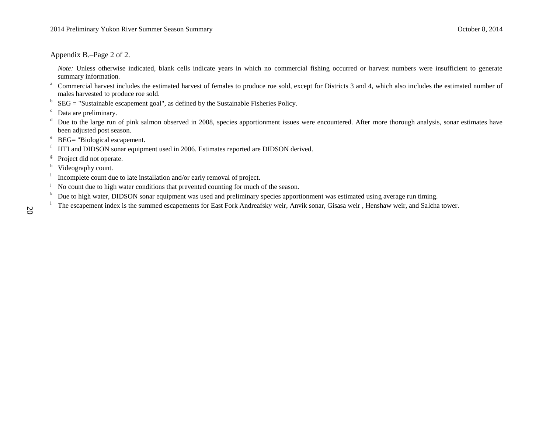#### Appendix B.–Page 2 of 2.

*Note:* Unless otherwise indicated, blank cells indicate years in which no commercial fishing occurred or harvest numbers were insufficient to generate summary information.

- <sup>a</sup> Commercial harvest includes the estimated harvest of females to produce roe sold, except for Districts 3 and 4, which also includes the estimated number of males harvested to produce roe sold.
- b SEG = "Sustainable escapement goal", as defined by the Sustainable Fisheries Policy.

- <sup>d</sup> Due to the large run of pink salmon observed in 2008, species apportionment issues were encountered. After more thorough analysis, sonar estimates have been adjusted post season.
- <sup>e</sup> BEG= "Biological escapement.
- <sup>f</sup> HTI and DIDSON sonar equipment used in 2006. Estimates reported are DIDSON derived.
- g Project did not operate.
- h Videography count.
- i Incomplete count due to late installation and/or early removal of project.
- <sup>j</sup> No count due to high water conditions that prevented counting for much of the season.
- <sup>k</sup> Due to high water, DIDSON sonar equipment was used and preliminary species apportionment was estimated using average run timing.
- The escapement index is the summed escapements for East Fork Andreafsky weir, Anvik sonar, Gisasa weir, Henshaw weir, and Salcha tower.

<sup>c</sup> Data are preliminary.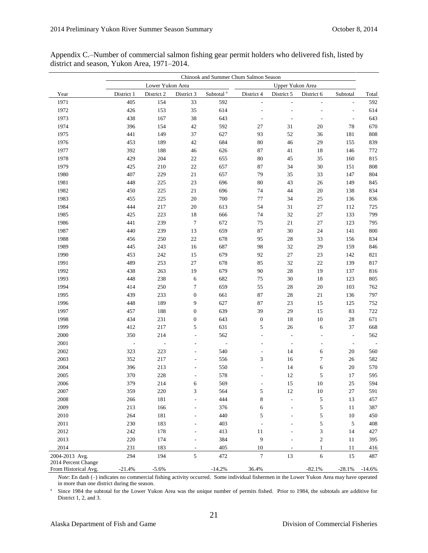|                      |                          |                          |                  |                       | Chinook and Summer Chum Salmon Season |                  |                             |                          |          |
|----------------------|--------------------------|--------------------------|------------------|-----------------------|---------------------------------------|------------------|-----------------------------|--------------------------|----------|
|                      |                          | Lower Yukon Area         |                  |                       |                                       | Upper Yukon Area |                             |                          |          |
| Year                 | District 1               | District 2               | District 3       | Subtotal <sup>a</sup> | District 4                            | District 5       | District 6                  | Subtotal                 | Total    |
| 1971                 | 405                      | 154                      | 33               | 592                   |                                       |                  |                             |                          | 592      |
| 1972                 | 426                      | 153                      | 35               | 614                   |                                       |                  |                             | L,                       | 614      |
| 1973                 | 438                      | 167                      | 38               | 643                   |                                       |                  |                             | $\overline{\phantom{a}}$ | 643      |
| 1974                 | 396                      | 154                      | 42               | 592                   | $27\,$                                | 31               | 20                          | 78                       | 670      |
| 1975                 | 441                      | 149                      | 37               | 627                   | 93                                    | 52               | 36                          | 181                      | 808      |
| 1976                 | 453                      | 189                      | 42               | 684                   | $80\,$                                | 46               | 29                          | 155                      | 839      |
| 1977                 | 392                      | 188                      | $46\,$           | 626                   | 87                                    | $41\,$           | $18\,$                      | 146                      | 772      |
| 1978                 | 429                      | 204                      | $22\,$           | 655                   | $80\,$                                | $45\,$           | 35                          | 160                      | 815      |
| 1979                 | 425                      | 210                      | $22\,$           | 657                   | 87                                    | 34               | $30\,$                      | 151                      | 808      |
| 1980                 | 407                      | 229                      | $21\,$           | 657                   | 79                                    | 35               | 33                          | 147                      | 804      |
| 1981                 | 448                      | 225                      | 23               | 696                   | 80                                    | 43               | 26                          | 149                      | 845      |
| 1982                 | 450                      | 225                      | $21\,$           | 696                   | 74                                    | 44               | $20\,$                      | 138                      | 834      |
| 1983                 | 455                      | 225                      | 20               | 700                   | $77\,$                                | 34               | $25\,$                      | 136                      | 836      |
| 1984                 | 444                      | 217                      | 20               | 613                   | 54                                    | 31               | $27\,$                      | 112                      | 725      |
| 1985                 | 425                      | 223                      | 18               | 666                   | 74                                    | 32               | 27                          | 133                      | 799      |
| 1986                 | 441                      | 239                      | $\boldsymbol{7}$ | 672                   | 75                                    | $21\,$           | $27\,$                      | 123                      | 795      |
| 1987                 | 440                      | 239                      | 13               | 659                   | 87                                    | 30               | 24                          | 141                      | 800      |
| 1988                 | 456                      | 250                      | $22\,$           | 678                   | 95                                    | $28\,$           | 33                          | 156                      | 834      |
| 1989                 | 445                      | 243                      | 16               | 687                   | 98                                    | 32               | 29                          | 159                      | 846      |
| 1990                 | 453                      | 242                      | 15               | 679                   | 92                                    | $27\,$           | $23\,$                      | 142                      | 821      |
| 1991                 | 489                      | 253                      | $27\,$           | 678                   | 85                                    | 32               | $22\,$                      | 139                      | 817      |
| 1992                 | 438                      | 263                      | 19               | 679                   | 90                                    | 28               | 19                          | 137                      | 816      |
| 1993                 | 448                      | 238                      | 6                | 682                   | 75                                    | 30               | $18\,$                      | 123                      | 805      |
| 1994                 | 414                      | 250                      | $\tau$           | 659                   | 55                                    | $28\,$           | $20\,$                      | 103                      | 762      |
| 1995                 | 439                      | 233                      | $\boldsymbol{0}$ | 661                   | 87                                    | $28\,$           | $21\,$                      | 136                      | 797      |
| 1996                 | 448                      | 189                      | 9                | 627                   | 87                                    | $23\,$           | 15                          | 125                      | 752      |
| 1997                 | 457                      | 188                      | $\boldsymbol{0}$ | 639                   | 39                                    | 29               | 15                          | 83                       | 722      |
| 1998                 | 434                      | 231                      | $\boldsymbol{0}$ | 643                   | $\boldsymbol{0}$                      | $18\,$           | $10\,$                      | $28\,$                   | 671      |
| 1999                 | 412                      | 217                      | 5                | 631                   | 5                                     | 26               | $\sqrt{6}$                  | 37                       | 668      |
| 2000                 | 350                      | 214                      | L,               | 562                   |                                       | L,               |                             | $\blacksquare$           | 562      |
| $2001\,$             | $\overline{\phantom{a}}$ | $\overline{\phantom{a}}$ |                  | $\Box$                |                                       | $\frac{1}{2}$    |                             | $\overline{\phantom{a}}$ |          |
| $2002\,$             | 323                      | 223                      |                  | 540                   |                                       | 14               | 6                           | $20\,$                   | 560      |
| 2003                 | 352                      | 217                      |                  | 556                   | $\ensuremath{\mathfrak{Z}}$           | 16               | $\boldsymbol{7}$            | 26                       | 582      |
| 2004                 | 396                      | 213                      |                  | 550                   |                                       | 14               | 6                           | 20                       | 570      |
| 2005                 | 370                      | 228                      |                  | 578                   |                                       | 12               | 5                           | 17                       | 595      |
| 2006                 | 379                      | 214                      |                  | 569                   |                                       | 15               | 10                          | $25\,$                   | 594      |
| 2007                 | 359                      | 220                      | 3                | 564                   | 5                                     | 12               | 10                          | 27                       | 591      |
| 2008                 | 266                      | 181                      |                  | 444                   | 8                                     |                  | 5                           | 13                       | 457      |
| 2009                 | 213                      | 166                      |                  | 376                   | 6                                     |                  | 5                           | 11                       | 387      |
| $2010\,$             | 264                      | 181                      |                  | 440                   | 5                                     |                  | 5                           | 10                       | 450      |
| $2011\,$             | 230                      | 183                      |                  | 403                   |                                       |                  | 5                           | 5                        | 408      |
| 2012                 | 242                      | 178                      |                  | 413                   | 11                                    |                  | $\ensuremath{\mathfrak{Z}}$ | 14                       | 427      |
| 2013                 | 220                      | 174                      |                  | 384                   | 9                                     |                  | $\mathbf{2}$                | 11                       | 395      |
| 2014                 | 231                      | 183                      |                  | 405                   | 10                                    |                  | $\mathbf{1}$                | 11                       | 416      |
| 2004-2013 Avg.       | 294                      | 194                      | 5                | 472                   | $\tau$                                | 13               | 6                           | 15                       | 487      |
| 2014 Percent Change  |                          |                          |                  |                       |                                       |                  |                             |                          |          |
| From Historical Avg. | $-21.4%$                 | $-5.6%$                  |                  | $-14.2%$              | 36.4%                                 |                  | $-82.1%$                    | $-28.1%$                 | $-14.6%$ |

Appendix C.–Number of commercial salmon fishing gear permit holders who delivered fish, listed by district and season, Yukon Area, 1971–2014.

*Note*: En dash (–) indicates no commercial fishing activity occurred. Some individual fishermen in the Lower Yukon Area may have operated in more than one district during the season.

a Since 1984 the subtotal for the Lower Yukon Area was the unique number of permits fished. Prior to 1984, the subtotals are additive for District 1, 2, and 3.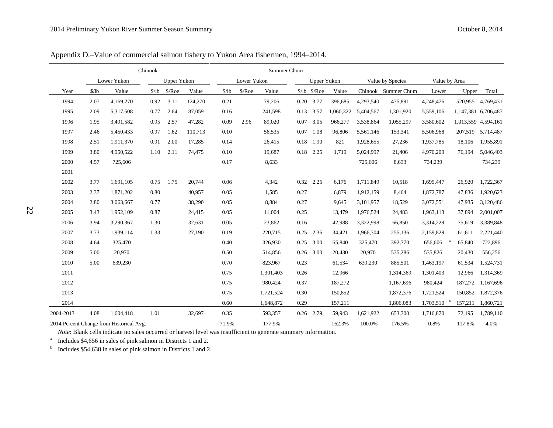Appendix D.–Value of commercial salmon fishery to Yukon Area fishermen, 1994–2014.

|           |       |                                          | Chinook             |                    |         |       |                 | Summer Chum |      |                      |           |            |                                   |           |         |                     |
|-----------|-------|------------------------------------------|---------------------|--------------------|---------|-------|-----------------|-------------|------|----------------------|-----------|------------|-----------------------------------|-----------|---------|---------------------|
|           |       | Lower Yukon                              |                     | <b>Upper Yukon</b> |         |       | Lower Yukon     |             |      | Upper Yukon          |           |            | Value by Species<br>Value by Area |           |         |                     |
| Year      | \$/lb | Value                                    | $\frac{\sqrt{}}{2}$ | $\sqrt{$}$ /Roe    | Value   | \$/lb | $\sqrt{$}$ /Roe | Value       |      | $10$ $\sqrt{3}$ /Roe | Value     |            | Chinook Summer Chum               | Lower     | Upper   | Total               |
| 1994      | 2.07  | 4,169,270                                | 0.92                | 3.11               | 124,270 | 0.21  |                 | 79,206      |      | 0.20 3.77            | 396,685   | 4,293,540  | 475,891                           | 4,248,476 | 520,955 | 4,769,431           |
| 1995      | 2.09  | 5,317,508                                | 0.77                | 2.64               | 87,059  | 0.16  |                 | 241,598     |      | 0.13 3.57            | 1,060,322 | 5,404,567  | 1,301,920                         | 5,559,106 |         | 1,147,381 6,706,487 |
| 1996      | 1.95  | 3,491,582                                | 0.95                | 2.57               | 47,282  | 0.09  | 2.96            | 89,020      |      | 0.07 3.05            | 966,277   | 3,538,864  | 1,055,297                         | 3,580,602 |         | 1,013,559 4,594,161 |
| 1997      | 2.46  | 5,450,433                                | 0.97                | 1.62               | 110,713 | 0.10  |                 | 56,535      |      | $0.07$ 1.08          | 96,806    | 5,561,146  | 153,341                           | 5,506,968 | 207,519 | 5,714,487           |
| 1998      | 2.51  | 1,911,370                                | 0.91                | 2.00               | 17,285  | 0.14  |                 | 26,415      |      | $0.18$ 1.90          | 821       | 1,928,655  | 27,236                            | 1,937,785 | 18,106  | 1,955,891           |
| 1999      | 3.80  | 4,950,522                                | 1.10                | 2.11               | 74,475  | 0.10  |                 | 19,687      |      | 0.18 2.25            | 1,719     | 5,024,997  | 21,406                            | 4,970,209 | 76,194  | 5,046,403           |
| 2000      | 4.57  | 725,606                                  |                     |                    |         | 0.17  |                 | 8,633       |      |                      |           | 725,606    | 8,633                             | 734,239   |         | 734,239             |
| 2001      |       |                                          |                     |                    |         |       |                 |             |      |                      |           |            |                                   |           |         |                     |
| 2002      | 3.77  | 1,691,105                                | 0.75                | 1.75               | 20,744  | 0.06  |                 | 4,342       |      | 0.32 2.25            | 6,176     | 1,711,849  | 10,518                            | 1,695,447 | 26,920  | 1,722,367           |
| 2003      | 2.37  | 1,871,202                                | 0.80                |                    | 40,957  | 0.05  |                 | 1,585       | 0.27 |                      | 6,879     | 1,912,159  | 8.464                             | 1,872,787 | 47,836  | 1,920,623           |
| 2004      | 2.80  | 3,063,667                                | 0.77                |                    | 38,290  | 0.05  |                 | 8,884       | 0.27 |                      | 9,645     | 3,101,957  | 18,529                            | 3,072,551 | 47,935  | 3,120,486           |
| 2005      | 3.43  | 1,952,109                                | 0.87                |                    | 24,415  | 0.05  |                 | 11,004      | 0.25 |                      | 13,479    | 1,976,524  | 24,483                            | 1,963,113 | 37,894  | 2,001,007           |
| 2006      | 3.94  | 3,290,367                                | 1.30                |                    | 32,631  | 0.05  |                 | 23,862      | 0.16 |                      | 42,988    | 3,322,998  | 66,850                            | 3,314,229 | 75,619  | 3,389,848           |
| 2007      | 3.73  | 1,939,114                                | 1.33                |                    | 27,190  | 0.19  |                 | 220,715     |      | $0.25$ 2.36          | 34,421    | 1,966,304  | 255,136                           | 2,159,829 | 61,611  | 2,221,440           |
| 2008      | 4.64  | 325,470                                  |                     |                    |         | 0.40  |                 | 326,930     | 0.25 | 3.00                 | 65,840    | 325,470    | 392,770                           | 656,606   | 65,840  | 722,896             |
| 2009      | 5.00  | 20,970                                   |                     |                    |         | 0.50  |                 | 514,856     |      | 0.26 3.00            | 20,430    | 20,970     | 535,286                           | 535,826   | 20,430  | 556,256             |
| 2010      | 5.00  | 639,230                                  |                     |                    |         | 0.70  |                 | 823,967     | 0.23 |                      | 61,534    | 639,230    | 885,501                           | 1,463,197 | 61,534  | 1,524,731           |
| 2011      |       |                                          |                     |                    |         | 0.75  |                 | 1,301,403   | 0.26 |                      | 12,966    |            | 1,314,369                         | 1,301,403 | 12,966  | 1,314,369           |
| 2012      |       |                                          |                     |                    |         | 0.75  |                 | 980,424     | 0.37 |                      | 187,272   |            | 1,167,696                         | 980,424   | 187,272 | 1,167,696           |
| 2013      |       |                                          |                     |                    |         | 0.75  |                 | 1,721,524   | 0.30 |                      | 150,852   |            | 1,872,376                         | 1,721,524 | 150,852 | 1,872,376           |
| 2014      |       |                                          |                     |                    |         | 0.60  |                 | 1,648,872   | 0.29 |                      | 157,211   |            | 1,806,083                         | 1,703,510 | 157,211 | 1,860,721           |
| 2004-2013 | 4.08  | 1,604,418                                | 1.01                |                    | 32,697  | 0.35  |                 | 593,357     |      | 0.26 2.79            | 59,943    | 1,621,922  | 653,300                           | 1,716,870 | 72,195  | 1,789,110           |
|           |       | 2014 Percent Change from Historical Avg. |                     |                    |         | 71.9% |                 | 177.9%      |      |                      | 162.3%    | $-100.0\%$ | 176.5%                            | $-0.8%$   | 117.8%  | 4.0%                |

*Note*: Blank cells indicate no sales occurred or harvest level was insufficient to generate summary information.

<sup>a</sup> Includes \$4,656 in sales of pink salmon in Districts 1 and 2.

b Includes \$54,638 in sales of pink salmon in Districts 1 and 2.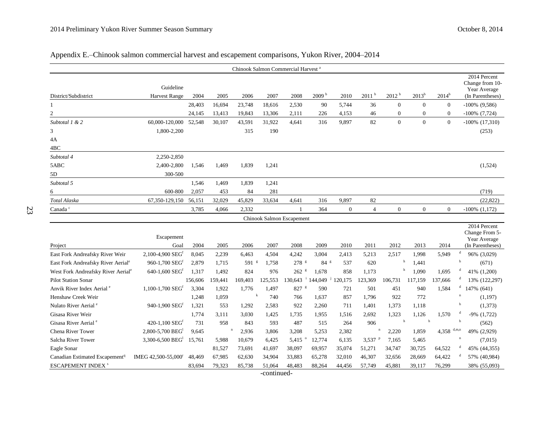| Appendix E.–Chinook salmon commercial harvest and escapement comparisons, Yukon River, 2004–2014 |                                   |        |        |        |                                                |       |                   |                |                   |                   |                  |                  |                                                                     |
|--------------------------------------------------------------------------------------------------|-----------------------------------|--------|--------|--------|------------------------------------------------|-------|-------------------|----------------|-------------------|-------------------|------------------|------------------|---------------------------------------------------------------------|
|                                                                                                  |                                   |        |        |        | Chinook Salmon Commercial Harvest <sup>a</sup> |       |                   |                |                   |                   |                  |                  |                                                                     |
| District/Subdistrict                                                                             | Guideline<br><b>Harvest Range</b> | 2004   | 2005   | 2006   | 2007                                           | 2008  | 2009 <sup>b</sup> | 2010           | 2011 <sup>b</sup> | 2012 <sup>b</sup> | $2013^{b}$       | $2014^{\rm b}$   | 2014 Percent<br>Change from 10-<br>Year Average<br>(In Parentheses) |
|                                                                                                  |                                   | 28,403 | 16,694 | 23,748 | 18,616                                         | 2,530 | 90                | 5,744          | 36                | $\boldsymbol{0}$  | $\mathbf{0}$     | $\boldsymbol{0}$ | $-100\%$ (9,586)                                                    |
| $\overline{c}$                                                                                   |                                   | 24,145 | 13,413 | 19,843 | 13,306                                         | 2,111 | 226               | 4,153          | 46                | $\mathbf{0}$      | $\boldsymbol{0}$ | $\boldsymbol{0}$ | $-100\%$ $(7,724)$                                                  |
| Subtotal 1 & 2                                                                                   | 60,000-120,000                    | 52,548 | 30,107 | 43,591 | 31,922                                         | 4,641 | 316               | 9,897          | 82                | $\boldsymbol{0}$  | $\mathbf{0}$     | $\mathbf{0}$     | $-100\%$ $(17,310)$                                                 |
|                                                                                                  | 1,800-2,200                       |        |        | 315    | 190                                            |       |                   |                |                   |                   |                  |                  | (253)                                                               |
| 4Α                                                                                               |                                   |        |        |        |                                                |       |                   |                |                   |                   |                  |                  |                                                                     |
| 4BC                                                                                              |                                   |        |        |        |                                                |       |                   |                |                   |                   |                  |                  |                                                                     |
| Subtotal 4                                                                                       | 2,250-2,850                       |        |        |        |                                                |       |                   |                |                   |                   |                  |                  |                                                                     |
| 5ABC                                                                                             | 2,400-2,800                       | 1,546  | 1,469  | 1,839  | 1,241                                          |       |                   |                |                   |                   |                  |                  | (1,524)                                                             |
| 5D                                                                                               | 300-500                           |        |        |        |                                                |       |                   |                |                   |                   |                  |                  |                                                                     |
| Subtotal 5                                                                                       |                                   | 1,546  | 1,469  | 1,839  | 1,241                                          |       |                   |                |                   |                   |                  |                  |                                                                     |
| 6                                                                                                | 600-800                           | 2,057  | 453    | 84     | 281                                            |       |                   |                |                   |                   |                  |                  | (719)                                                               |
| Total Alaska                                                                                     | 67, 350-129, 150                  | 56,151 | 32,029 | 45,829 | 33,634                                         | 4,641 | 316               | 9,897          | 82                |                   |                  |                  | (22, 822)                                                           |
| Canada <sup>c</sup>                                                                              |                                   | 3,785  | 4,066  | 2,332  |                                                |       | 364               | $\overline{0}$ | $\overline{4}$    | $\mathbf{0}$      | $\mathbf{0}$     | $\theta$         | $-100\%$ $(1,172)$                                                  |
|                                                                                                  |                                   |        |        |        | Chinook Salmon Escapement                      |       |                   |                |                   |                   |                  |                  |                                                                     |
| Project                                                                                          | Escapement<br>Goal                | 2004   | 2005   | 2006   | 2007                                           | 2008  | 2009              | 2010           | 2011              | 2012              | 2013             | 2014             | 2014 Percent<br>Change From 5-<br>Year Average<br>(In Parentheses)  |
| East Fork Andreafsky River Weir                                                                  | 2,100-4,900 SEG <sup>f</sup>      | 8,045  | 2,239  | 6,463  | 4,504                                          | 4,242 | 3,004             | 2,413          | 5,213             | 2,517             | 1,998            | 5,949            | $\mathbf d$<br>96% (3,029)                                          |

# Appendix E.–Chinook salmo

4A  $\overline{4BC}$  $Subtotal 4$ 

Subtotal 5

Canada $^{\rm c}$ 

|                                                |                                    |         |         |                |         |                    |                 |         |         |         |         |         |       | 2014 Percent                     |
|------------------------------------------------|------------------------------------|---------|---------|----------------|---------|--------------------|-----------------|---------|---------|---------|---------|---------|-------|----------------------------------|
|                                                | Escapement                         |         |         |                |         |                    |                 |         |         |         |         |         |       | Change From 5-                   |
| Project                                        | Goal                               | 2004    | 2005    | 2006           | 2007    | 2008               | 2009            | 2010    | 2011    | 2012    | 2013    | 2014    |       | Year Average<br>(In Parentheses) |
|                                                |                                    |         |         |                |         |                    |                 |         |         |         |         |         |       |                                  |
| East Fork Andreafsky River Weir                | $2,100-4,900$ SEG <sup>f</sup>     | 8,045   | 2,239   | 6,463          | 4,504   | 4,242              | 3,004           | 2,413   | 5,213   | 2,517   | 1.998   | 5,949   |       | 96% (3,029)                      |
| East Fork Andreafsky River Aerial <sup>e</sup> | 960-1,700 SEG <sup>f</sup>         | 2,879   | 1,715   | $591$ $\rm{s}$ | 1,758   | $278$ s            | 84 <sup>g</sup> | 537     | 620     |         | 1,441   |         | h     | (671)                            |
| West Fork Andreafsky River Aerial <sup>e</sup> | 640-1,600 $SEGf$                   | 1,317   | 1,492   | 824            | 976     | $262$ $\mathrm{g}$ | 1,678           | 858     | 1,173   |         | 1,090   | 1,695   | d     | 41% (1,200)                      |
| <b>Pilot Station Sonar</b>                     |                                    | 156,606 | 159,441 | 169,403        | 125,553 | 30,643             | 144,049         | 120,175 | 123,369 | 106,731 | 117,159 | 137,666 |       | 13% (122,297)                    |
| Anvik River Index Aerial <sup>e</sup>          | $1,100$ -1,700 $\rm{SEG}^{\rm{f}}$ | 3,304   | 1,922   | 1,776          | 1,497   | 827                | 590             | 721     | 501     | 451     | 940     | 1,584   |       | 147% (641)                       |
| Henshaw Creek Weir                             |                                    | 1,248   | 1,059   |                | 740     | 766                | 1,637           | 857     | 1,796   | 922     | 772     |         | n     | (1,197)                          |
| Nulato River Aerial <sup>e</sup>               | 940-1,900 SEG <sup>f</sup>         | 1,321   | 553     | 1,292          | 2,583   | 922                | 2,260           | 711     | 1,401   | 1,373   | 1,118   |         | h     | (1,373)                          |
| Gisasa River Weir                              |                                    | 1,774   | 3,111   | 3,030          | 1,425   | 1,735              | 1,955           | 1,516   | 2,692   | 1,323   | 1,126   | 1,570   |       | $-9\%$ $(1,722)$                 |
| Gisasa River Aerial <sup>e</sup>               | 420-1,100 $SEGf$                   | 731     | 958     | 843            | 593     | 487                | 515             | 264     | 906     |         | h       |         | h     | (562)                            |
| Chena River Tower                              | $2,800-5,700$ BEG <sup>1</sup>     | 9,645   |         | 2,936          | 3,806   | 3,208              | 5,253           | 2,382   |         | 2,220   | 1,859   | 4,358   | d,m,n | 49% (2,929)                      |
| Salcha River Tower                             | 3,300-6,500 BEG                    | 15,761  | 5,988   | 10,679         | 6,425   | 5,415              | 12,774          | 6,135   | 3,537   | 7,165   | 5,465   |         | n     | (7,015)                          |
| Eagle Sonar                                    |                                    |         | 81,527  | 73,691         | 41,697  | 38,097             | 69,957          | 35,074  | 51,271  | 34,747  | 30,725  | 64,522  |       | 45% (44,355)                     |
| Canadian Estimated Escapement <sup>q</sup>     | IMEG 42,500-55,000 <sup>r</sup>    | 48,469  | 67,985  | 62,630         | 34,904  | 33,883             | 65,278          | 32,010  | 46,307  | 32,656  | 28,669  | 64,422  |       | 57% (40,984)                     |
| <b>ESCAPEMENT INDEX <sup>s</sup></b>           |                                    | 83,694  | 79,323  | 85,738         | 51,064  | 48,483             | 88,264          | 44,456  | 57,749  | 45,881  | 39,117  | 76,299  |       | 38% (55,093)                     |
| -continued-                                    |                                    |         |         |                |         |                    |                 |         |         |         |         |         |       |                                  |